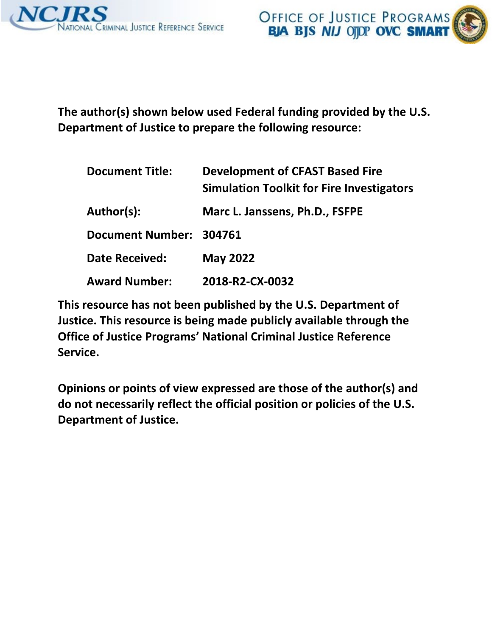

 **The author(s) shown below used Federal funding provided by the U.S. Department of Justice to prepare the following resource:** 

| <b>Document Title:</b>  | <b>Development of CFAST Based Fire</b><br><b>Simulation Toolkit for Fire Investigators</b> |
|-------------------------|--------------------------------------------------------------------------------------------|
| Author(s):              | Marc L. Janssens, Ph.D., FSFPE                                                             |
| Document Number: 304761 |                                                                                            |
| <b>Date Received:</b>   | <b>May 2022</b>                                                                            |
| <b>Award Number:</b>    | 2018-R2-CX-0032                                                                            |

 **This resource has not been published by the U.S. Department of Justice. This resource is being made publicly available through the Office of Justice Programs' National Criminal Justice Reference Service.** 

 **Opinions or points of view expressed are those of the author(s) and do not necessarily reflect the official position or policies of the U.S. Department of Justice.**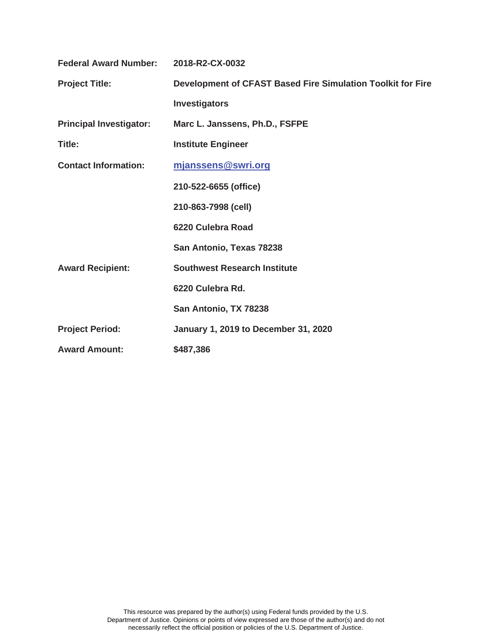| <b>Federal Award Number:</b>   | 2018-R2-CX-0032                                             |
|--------------------------------|-------------------------------------------------------------|
| <b>Project Title:</b>          | Development of CFAST Based Fire Simulation Toolkit for Fire |
|                                | <b>Investigators</b>                                        |
| <b>Principal Investigator:</b> | Marc L. Janssens, Ph.D., FSFPE                              |
| Title:                         | <b>Institute Engineer</b>                                   |
| <b>Contact Information:</b>    | mjanssens@swri.org                                          |
|                                | 210-522-6655 (office)                                       |
|                                | 210-863-7998 (cell)                                         |
|                                | 6220 Culebra Road                                           |
|                                | San Antonio, Texas 78238                                    |
| <b>Award Recipient:</b>        | <b>Southwest Research Institute</b>                         |
|                                | 6220 Culebra Rd.                                            |
|                                | San Antonio, TX 78238                                       |
| <b>Project Period:</b>         | <b>January 1, 2019 to December 31, 2020</b>                 |
| <b>Award Amount:</b>           | \$487,386                                                   |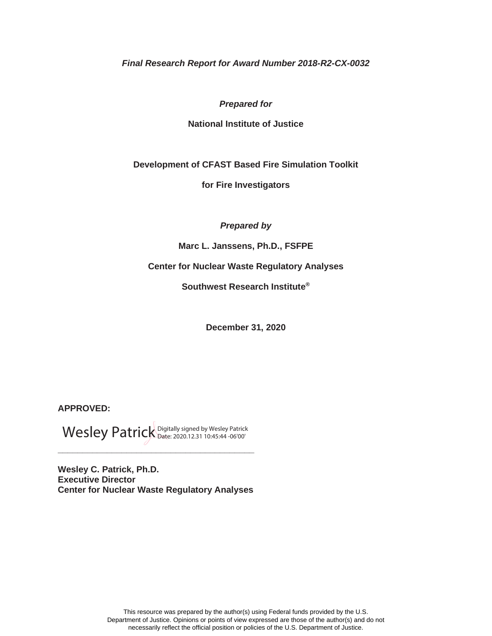*Final Research Report for Award Number 2018-R2-CX-0032* 

#### *Prepared for*

#### **National Institute of Justice**

**Development of CFAST Based Fire Simulation Toolkit** 

**for Fire Investigators** 

*Prepared by* 

**Marc L. Janssens, Ph.D., FSFPE** 

 **Center for Nuclear Waste Regulatory Analyses** 

**Southwest Research Institute®** 

**December 31, 2020** 

**APPROVED:** 

Wesley Patrick Digitally signed by Wesley Patrick

**\_\_\_\_\_\_\_\_\_\_\_\_\_\_\_\_\_\_\_\_\_\_\_\_\_\_\_\_\_\_\_\_\_\_\_\_\_\_\_\_** 

**Wesley C. Patrick, Ph.D. Executive Director Center for Nuclear Waste Regulatory Analyses**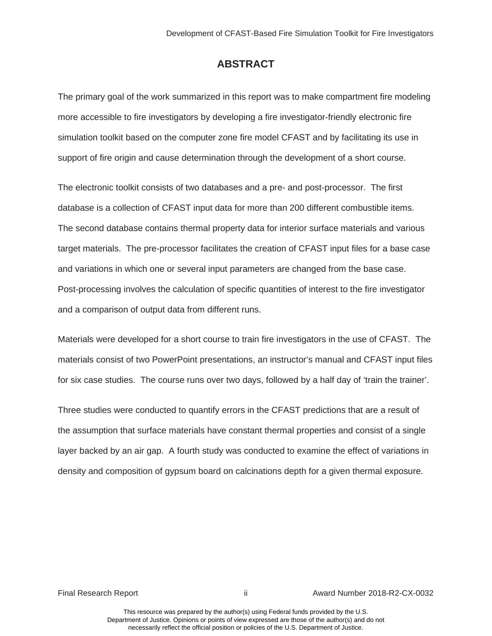## **ABSTRACT**

<span id="page-3-0"></span>The primary goal of the work summarized in this report was to make compartment fire modeling more accessible to fire investigators by developing a fire investigator-friendly electronic fire simulation toolkit based on the computer zone fire model CFAST and by facilitating its use in support of fire origin and cause determination through the development of a short course.

database is a collection of CFAST input data for more than 200 different combustible items. target materials. The pre-processor facilitates the creation of CFAST input files for a base case and variations in which one or several input parameters are changed from the base case. The electronic toolkit consists of two databases and a pre- and post-processor. The first The second database contains thermal property data for interior surface materials and various Post-processing involves the calculation of specific quantities of interest to the fire investigator and a comparison of output data from different runs.

 for six case studies. The course runs over two days, followed by a half day of 'train the trainer'. Materials were developed for a short course to train fire investigators in the use of CFAST. The materials consist of two PowerPoint presentations, an instructor's manual and CFAST input files

Three studies were conducted to quantify errors in the CFAST predictions that are a result of the assumption that surface materials have constant thermal properties and consist of a single layer backed by an air gap. A fourth study was conducted to examine the effect of variations in density and composition of gypsum board on calcinations depth for a given thermal exposure.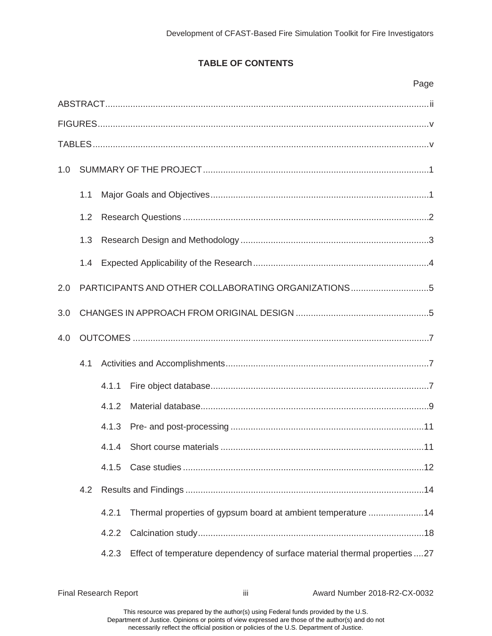## **TABLE OF CONTENTS**

|     |     |       | Page                                                                      |  |  |
|-----|-----|-------|---------------------------------------------------------------------------|--|--|
|     |     |       |                                                                           |  |  |
|     |     |       |                                                                           |  |  |
|     |     |       |                                                                           |  |  |
| 1.0 |     |       |                                                                           |  |  |
|     | 1.1 |       |                                                                           |  |  |
|     | 1.2 |       |                                                                           |  |  |
|     | 1.3 |       |                                                                           |  |  |
|     | 1.4 |       |                                                                           |  |  |
| 2.0 |     |       | PARTICIPANTS AND OTHER COLLABORATING ORGANIZATIONS5                       |  |  |
| 3.0 |     |       |                                                                           |  |  |
| 4.0 |     |       |                                                                           |  |  |
|     | 4.1 |       |                                                                           |  |  |
|     |     | 4.1.1 |                                                                           |  |  |
|     |     | 4.1.2 |                                                                           |  |  |
|     |     | 4.1.3 |                                                                           |  |  |
|     |     | 4.1.4 |                                                                           |  |  |
|     |     | 4.1.5 |                                                                           |  |  |
|     | 4.2 |       |                                                                           |  |  |
|     |     | 4.2.1 | Thermal properties of gypsum board at ambient temperature 14              |  |  |
|     |     | 4.2.2 |                                                                           |  |  |
|     |     | 4.2.3 | Effect of temperature dependency of surface material thermal properties27 |  |  |

Final Research Report **iii** Award Number 2018-R2-CX-0032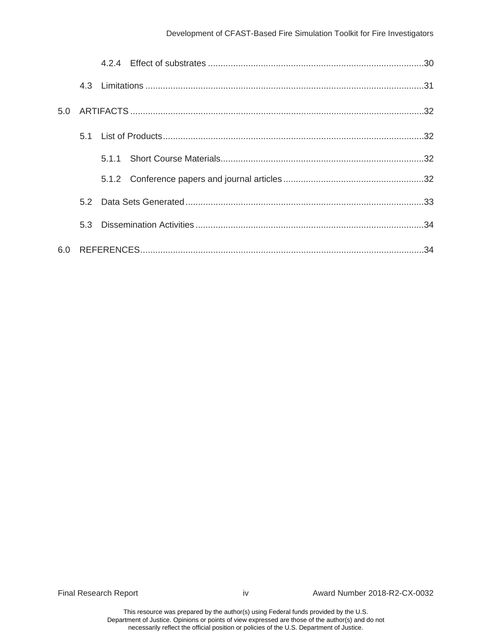| 5.0 |  |  |
|-----|--|--|
|     |  |  |
|     |  |  |
|     |  |  |
|     |  |  |
|     |  |  |
|     |  |  |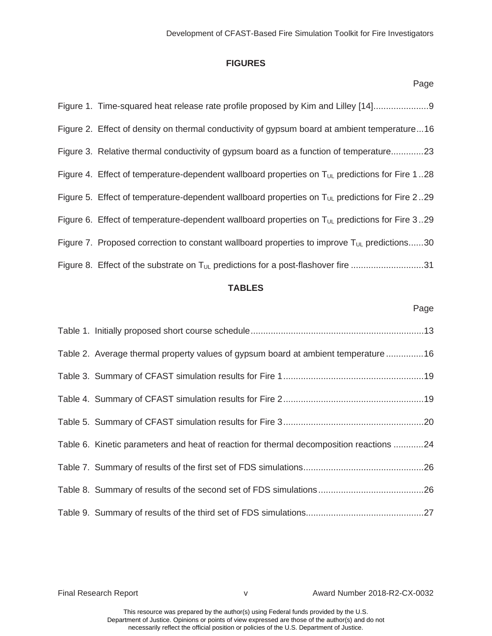#### **FIGURES**

<span id="page-6-0"></span>

| Figure 1. Time-squared heat release rate profile proposed by Kim and Lilley [14]                           |
|------------------------------------------------------------------------------------------------------------|
| Figure 2. Effect of density on thermal conductivity of gypsum board at ambient temperature16               |
| Figure 3. Relative thermal conductivity of gypsum board as a function of temperature23                     |
| Figure 4. Effect of temperature-dependent wallboard properties on $T_{UL}$ predictions for Fire 128        |
| Figure 5. Effect of temperature-dependent wallboard properties on T <sub>UL</sub> predictions for Fire 229 |
| Figure 6. Effect of temperature-dependent wallboard properties on $T_{UL}$ predictions for Fire 329        |
| Figure 7. Proposed correction to constant wallboard properties to improve $T_{UL}$ predictions30           |
| Figure 8. Effect of the substrate on T <sub>UL</sub> predictions for a post-flashover fire 31              |

#### **TABLES**

#### Page

| Table 2. Average thermal property values of gypsum board at ambient temperature 16      |  |
|-----------------------------------------------------------------------------------------|--|
|                                                                                         |  |
|                                                                                         |  |
|                                                                                         |  |
| Table 6. Kinetic parameters and heat of reaction for thermal decomposition reactions 24 |  |
|                                                                                         |  |
|                                                                                         |  |
|                                                                                         |  |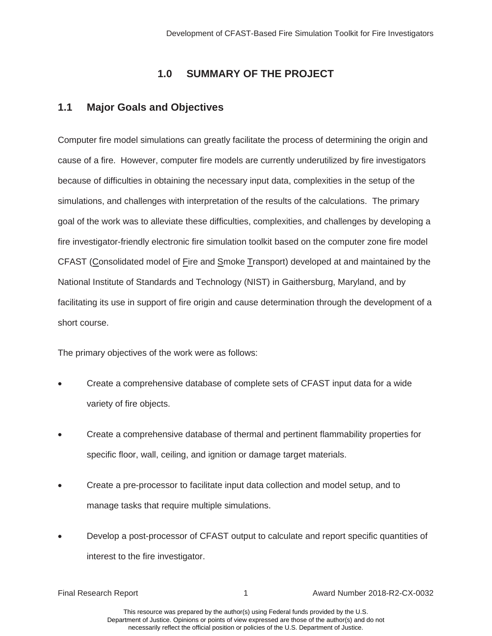# **1.0 SUMMARY OF THE PROJECT**

## **1.1 Major Goals and Objectives**

 simulations, and challenges with interpretation of the results of the calculations. The primary fire investigator-friendly electronic fire simulation toolkit based on the computer zone fire model Computer fire model simulations can greatly facilitate the process of determining the origin and cause of a fire. However, computer fire models are currently underutilized by fire investigators because of difficulties in obtaining the necessary input data, complexities in the setup of the goal of the work was to alleviate these difficulties, complexities, and challenges by developing a CFAST (Consolidated model of Fire and Smoke Transport) developed at and maintained by the National Institute of Standards and Technology (NIST) in Gaithersburg, Maryland, and by facilitating its use in support of fire origin and cause determination through the development of a short course.

The primary objectives of the work were as follows:

- Create a comprehensive database of complete sets of CFAST input data for a wide variety of fire objects.
- x Create a comprehensive database of thermal and pertinent flammability properties for specific floor, wall, ceiling, and ignition or damage target materials.
- Create a pre-processor to facilitate input data collection and model setup, and to manage tasks that require multiple simulations.
- Develop a post-processor of CFAST output to calculate and report specific quantities of interest to the fire investigator.

Final Research Report 1 Award Number 2018-R2-CX-0032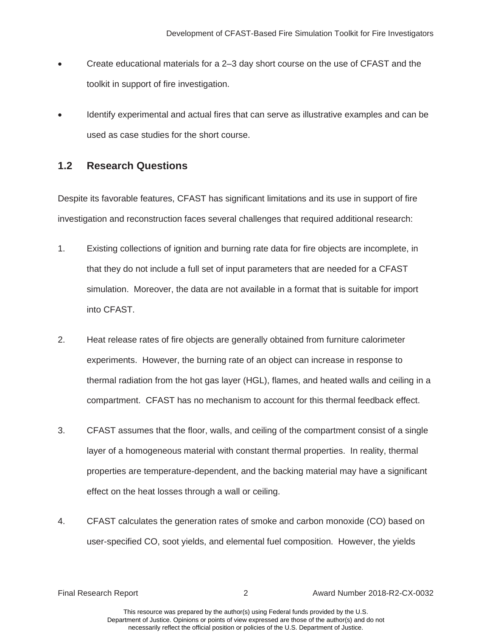- <span id="page-8-0"></span>• Create educational materials for a 2–3 day short course on the use of CFAST and the toolkit in support of fire investigation.
- Identify experimental and actual fires that can serve as illustrative examples and can be used as case studies for the short course.

# **1.2 Research Questions**

Despite its favorable features, CFAST has significant limitations and its use in support of fire investigation and reconstruction faces several challenges that required additional research:

- simulation. Moreover, the data are not available in a format that is suitable for import 1. Existing collections of ignition and burning rate data for fire objects are incomplete, in that they do not include a full set of input parameters that are needed for a CFAST into CFAST.
- compartment. CFAST has no mechanism to account for this thermal feedback effect. 2. Heat release rates of fire objects are generally obtained from furniture calorimeter experiments. However, the burning rate of an object can increase in response to thermal radiation from the hot gas layer (HGL), flames, and heated walls and ceiling in a
- 3. CFAST assumes that the floor, walls, and ceiling of the compartment consist of a single layer of a homogeneous material with constant thermal properties. In reality, thermal properties are temperature-dependent, and the backing material may have a significant effect on the heat losses through a wall or ceiling.
- 4. CFAST calculates the generation rates of smoke and carbon monoxide (CO) based on user-specified CO, soot yields, and elemental fuel composition. However, the yields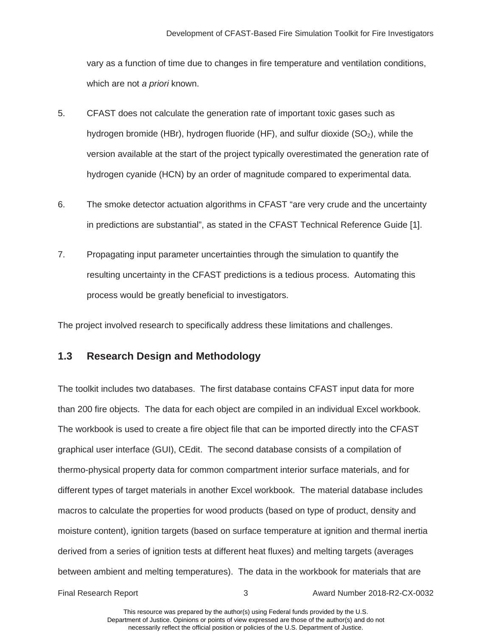<span id="page-9-0"></span>vary as a function of time due to changes in fire temperature and ventilation conditions, which are not *a priori* known.

- 5. CFAST does not calculate the generation rate of important toxic gases such as hydrogen bromide (HBr), hydrogen fluoride (HF), and sulfur dioxide  $(SO<sub>2</sub>)$ , while the version available at the start of the project typically overestimated the generation rate of hydrogen cyanide (HCN) by an order of magnitude compared to experimental data.
- 6. The smoke detector actuation algorithms in CFAST "are very crude and the uncertainty in predictions are substantial", as stated in the CFAST Technical Reference Guide [1].
- 7. Propagating input parameter uncertainties through the simulation to quantify the resulting uncertainty in the CFAST predictions is a tedious process. Automating this process would be greatly beneficial to investigators.

The project involved research to specifically address these limitations and challenges.

## **1.3 Research Design and Methodology**

 The toolkit includes two databases. The first database contains CFAST input data for more than 200 fire objects. The data for each object are compiled in an individual Excel workbook. graphical user interface (GUI), CEdit. The second database consists of a compilation of The workbook is used to create a fire object file that can be imported directly into the CFAST thermo-physical property data for common compartment interior surface materials, and for different types of target materials in another Excel workbook. The material database includes macros to calculate the properties for wood products (based on type of product, density and moisture content), ignition targets (based on surface temperature at ignition and thermal inertia derived from a series of ignition tests at different heat fluxes) and melting targets (averages between ambient and melting temperatures). The data in the workbook for materials that are

Final Research Report 3 Award Number 2018-R2-CX-0032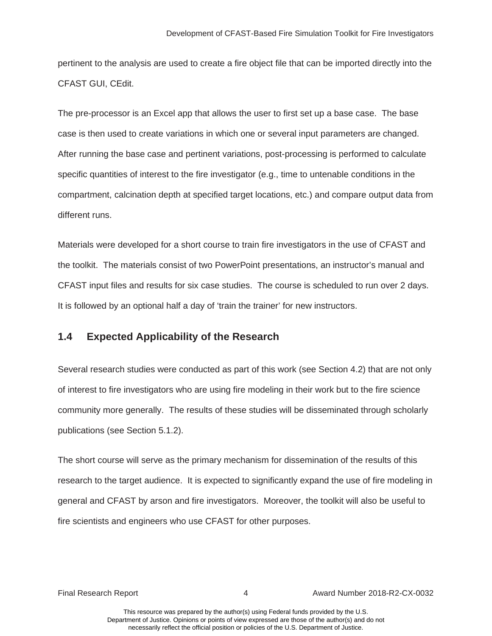<span id="page-10-0"></span> pertinent to the analysis are used to create a fire object file that can be imported directly into the CFAST GUI, CEdit.

case is then used to create variations in which one or several input parameters are changed. The pre-processor is an Excel app that allows the user to first set up a base case. The base After running the base case and pertinent variations, post-processing is performed to calculate specific quantities of interest to the fire investigator (e.g., time to untenable conditions in the compartment, calcination depth at specified target locations, etc.) and compare output data from different runs.

Materials were developed for a short course to train fire investigators in the use of CFAST and the toolkit. The materials consist of two PowerPoint presentations, an instructor's manual and CFAST input files and results for six case studies. The course is scheduled to run over 2 days. It is followed by an optional half a day of 'train the trainer' for new instructors.

### **1.4 Expected Applicability of the Research**

 Several research studies were conducted as part of this work (see Section 4.2) that are not only of interest to fire investigators who are using fire modeling in their work but to the fire science community more generally. The results of these studies will be disseminated through scholarly publications (see Section 5.1.2).

 research to the target audience. It is expected to significantly expand the use of fire modeling in The short course will serve as the primary mechanism for dissemination of the results of this general and CFAST by arson and fire investigators. Moreover, the toolkit will also be useful to fire scientists and engineers who use CFAST for other purposes.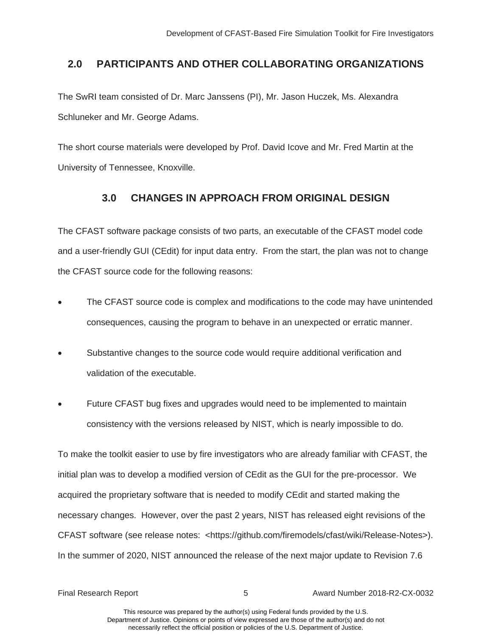# <span id="page-11-0"></span>**2.0 PARTICIPANTS AND OTHER COLLABORATING ORGANIZATIONS**

The SwRI team consisted of Dr. Marc Janssens (PI), Mr. Jason Huczek, Ms. Alexandra Schluneker and Mr. George Adams.

The short course materials were developed by Prof. David Icove and Mr. Fred Martin at the University of Tennessee, Knoxville.

# **3.0 CHANGES IN APPROACH FROM ORIGINAL DESIGN**

 and a user-friendly GUI (CEdit) for input data entry. From the start, the plan was not to change The CFAST software package consists of two parts, an executable of the CFAST model code the CFAST source code for the following reasons:

- The CFAST source code is complex and modifications to the code may have unintended consequences, causing the program to behave in an unexpected or erratic manner.
- Substantive changes to the source code would require additional verification and validation of the executable.
- Future CFAST bug fixes and upgrades would need to be implemented to maintain consistency with the versions released by NIST, which is nearly impossible to do.

 initial plan was to develop a modified version of CEdit as the GUI for the pre-processor. We CFAST software (see release notes: <https://github.com/firemodels/cfast/wiki/Release-Notes>). To make the toolkit easier to use by fire investigators who are already familiar with CFAST, the acquired the proprietary software that is needed to modify CEdit and started making the necessary changes. However, over the past 2 years, NIST has released eight revisions of the In the summer of 2020, NIST announced the release of the next major update to Revision 7.6

Final Research Report 5 Award Number 2018-R2-CX-0032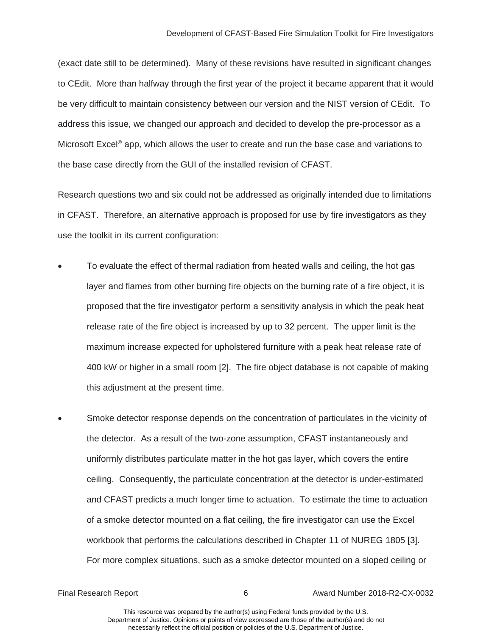(exact date still to be determined). Many of these revisions have resulted in significant changes to CEdit. More than halfway through the first year of the project it became apparent that it would be very difficult to maintain consistency between our version and the NIST version of CEdit. To address this issue, we changed our approach and decided to develop the pre-processor as a Microsoft Excel<sup>®</sup> app, which allows the user to create and run the base case and variations to the base case directly from the GUI of the installed revision of CFAST.

Research questions two and six could not be addressed as originally intended due to limitations in CFAST. Therefore, an alternative approach is proposed for use by fire investigators as they use the toolkit in its current configuration:

- this adjustment at the present time. To evaluate the effect of thermal radiation from heated walls and ceiling, the hot gas layer and flames from other burning fire objects on the burning rate of a fire object, it is proposed that the fire investigator perform a sensitivity analysis in which the peak heat release rate of the fire object is increased by up to 32 percent. The upper limit is the maximum increase expected for upholstered furniture with a peak heat release rate of 400 kW or higher in a small room [2]. The fire object database is not capable of making
- of a smoke detector mounted on a flat ceiling, the fire investigator can use the Excel workbook that performs the calculations described in Chapter 11 of NUREG 1805 [3]. Smoke detector response depends on the concentration of particulates in the vicinity of the detector. As a result of the two-zone assumption, CFAST instantaneously and uniformly distributes particulate matter in the hot gas layer, which covers the entire ceiling. Consequently, the particulate concentration at the detector is under-estimated and CFAST predicts a much longer time to actuation. To estimate the time to actuation For more complex situations, such as a smoke detector mounted on a sloped ceiling or

Final Research Report 6 Award Number 2018-R2-CX-0032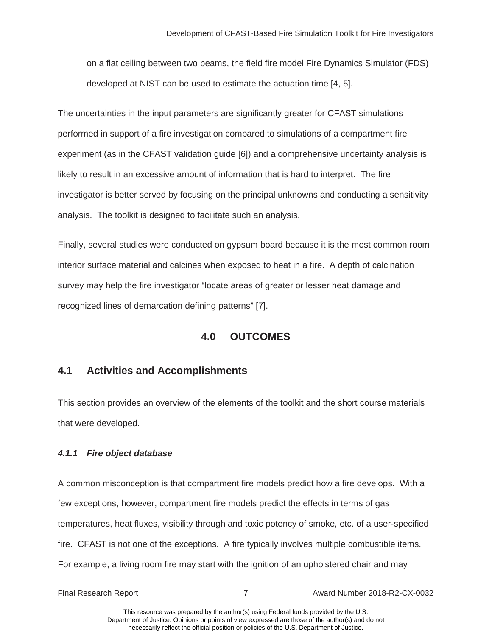<span id="page-13-0"></span>on a flat ceiling between two beams, the field fire model Fire Dynamics Simulator (FDS) developed at NIST can be used to estimate the actuation time [4, 5].

 performed in support of a fire investigation compared to simulations of a compartment fire The uncertainties in the input parameters are significantly greater for CFAST simulations experiment (as in the CFAST validation guide [6]) and a comprehensive uncertainty analysis is likely to result in an excessive amount of information that is hard to interpret. The fire investigator is better served by focusing on the principal unknowns and conducting a sensitivity analysis. The toolkit is designed to facilitate such an analysis.

Finally, several studies were conducted on gypsum board because it is the most common room interior surface material and calcines when exposed to heat in a fire. A depth of calcination survey may help the fire investigator "locate areas of greater or lesser heat damage and recognized lines of demarcation defining patterns" [7].

# **4.0 OUTCOMES**

# **4.1 Activities and Accomplishments**

This section provides an overview of the elements of the toolkit and the short course materials that were developed.

### *4.1.1 Fire object database*

A common misconception is that compartment fire models predict how a fire develops. With a few exceptions, however, compartment fire models predict the effects in terms of gas temperatures, heat fluxes, visibility through and toxic potency of smoke, etc. of a user-specified fire. CFAST is not one of the exceptions. A fire typically involves multiple combustible items. For example, a living room fire may start with the ignition of an upholstered chair and may

Final Research Report 7 Award Number 2018-R2-CX-0032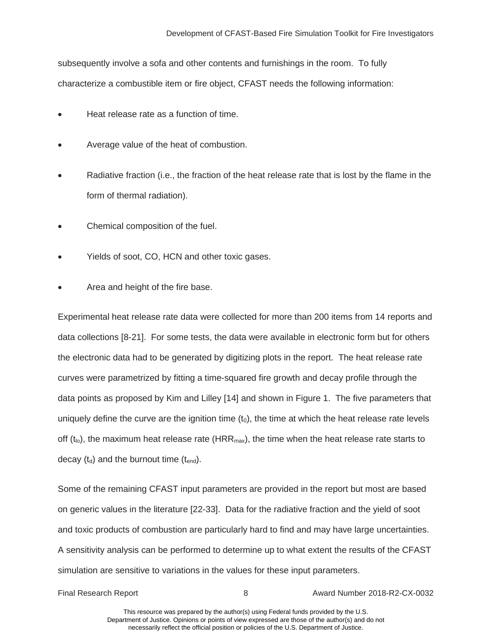subsequently involve a sofa and other contents and furnishings in the room. To fully characterize a combustible item or fire object, CFAST needs the following information:

- Heat release rate as a function of time.
- Average value of the heat of combustion.
- Radiative fraction (i.e., the fraction of the heat release rate that is lost by the flame in the form of thermal radiation).
- Chemical composition of the fuel.
- Yields of soot, CO, HCN and other toxic gases.
- Area and height of the fire base.

 data collections [8-21]. For some tests, the data were available in electronic form but for others off  $(t_{\text{lo}})$ , the maximum heat release rate (HRR<sub>max</sub>), the time when the heat release rate starts to Experimental heat release rate data were collected for more than 200 items from 14 reports and the electronic data had to be generated by digitizing plots in the report. The heat release rate curves were parametrized by fitting a time-squared fire growth and decay profile through the data points as proposed by Kim and Lilley [14] and shown in Figure 1. The five parameters that uniquely define the curve are the ignition time  $(t_0)$ , the time at which the heat release rate levels decay  $(t_d)$  and the burnout time  $(t_{end})$ .

Some of the remaining CFAST input parameters are provided in the report but most are based on generic values in the literature [22-33]. Data for the radiative fraction and the yield of soot and toxic products of combustion are particularly hard to find and may have large uncertainties. A sensitivity analysis can be performed to determine up to what extent the results of the CFAST simulation are sensitive to variations in the values for these input parameters.

Final Research Report 8 Award Number 2018-R2-CX-0032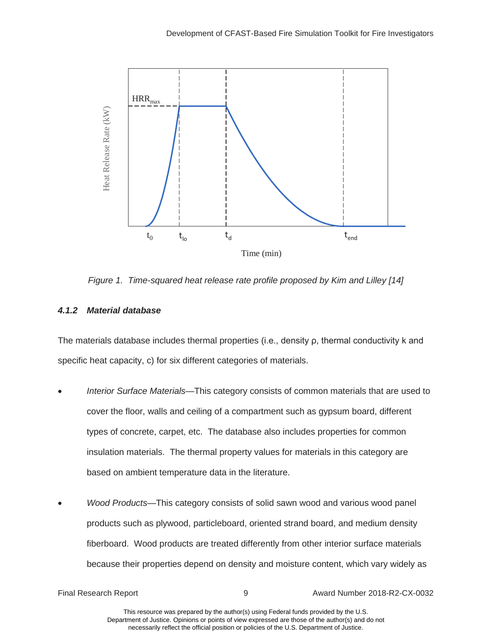

*Figure 1. Time-squared heat release rate profile proposed by Kim and Lilley [14]* 

#### *4.1.2 Material database*

The materials database includes thermal properties (i.e., density  $\rho$ , thermal conductivity k and specific heat capacity, c) for six different categories of materials.

- x *Interior Surface Materials*—This category consists of common materials that are used to cover the floor, walls and ceiling of a compartment such as gypsum board, different types of concrete, carpet, etc. The database also includes properties for common insulation materials. The thermal property values for materials in this category are based on ambient temperature data in the literature.
- x *Wood Products*—This category consists of solid sawn wood and various wood panel products such as plywood, particleboard, oriented strand board, and medium density fiberboard. Wood products are treated differently from other interior surface materials because their properties depend on density and moisture content, which vary widely as

Final Research Report 9 Award Number 2018-R2-CX-0032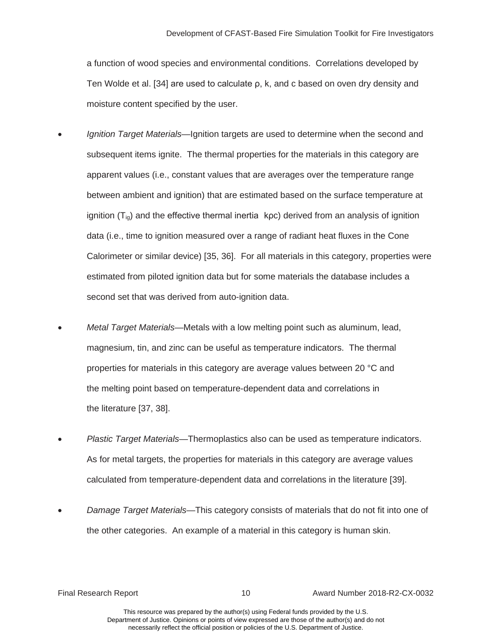a function of wood species and environmental conditions. Correlations developed by Ten Wolde et al. [34] are used to calculate  $\rho$ , k, and c based on oven dry density and moisture content specified by the user.

- ignition  $(T_{ig})$  and the effective thermal inertia kpc) derived from an analysis of ignition Calorimeter or similar device) [35, 36]. For all materials in this category, properties were *Ignition Target Materials*—Ignition targets are used to determine when the second and subsequent items ignite. The thermal properties for the materials in this category are apparent values (i.e., constant values that are averages over the temperature range between ambient and ignition) that are estimated based on the surface temperature at data (i.e., time to ignition measured over a range of radiant heat fluxes in the Cone estimated from piloted ignition data but for some materials the database includes a second set that was derived from auto-ignition data.
- the melting point based on temperature-dependent data and correlations in<br>the literature [37, 38]. x *Metal Target Materials*—Metals with a low melting point such as aluminum, lead, magnesium, tin, and zinc can be useful as temperature indicators. The thermal properties for materials in this category are average values between 20 °C and
- x *Plastic Target Materials*—Thermoplastics also can be used as temperature indicators. As for metal targets, the properties for materials in this category are average values calculated from temperature-dependent data and correlations in the literature [39].
- x *Damage Target Materials*—This category consists of materials that do not fit into one of the other categories. An example of a material in this category is human skin.

Final Research Report 10 Award Number 2018-R2-CX-0032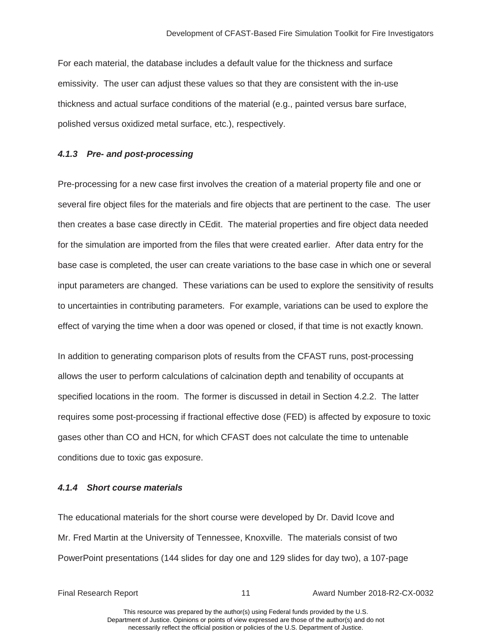<span id="page-17-0"></span>For each material, the database includes a default value for the thickness and surface emissivity. The user can adjust these values so that they are consistent with the in-use thickness and actual surface conditions of the material (e.g., painted versus bare surface, polished versus oxidized metal surface, etc.), respectively.

#### *4.1.3 Pre- and post-processing*

 several fire object files for the materials and fire objects that are pertinent to the case. The user Pre-processing for a new case first involves the creation of a material property file and one or then creates a base case directly in CEdit. The material properties and fire object data needed for the simulation are imported from the files that were created earlier. After data entry for the base case is completed, the user can create variations to the base case in which one or several input parameters are changed. These variations can be used to explore the sensitivity of results to uncertainties in contributing parameters. For example, variations can be used to explore the effect of varying the time when a door was opened or closed, if that time is not exactly known.

In addition to generating comparison plots of results from the CFAST runs, post-processing allows the user to perform calculations of calcination depth and tenability of occupants at specified locations in the room. The former is discussed in detail in Section 4.2.2. The latter requires some post-processing if fractional effective dose (FED) is affected by exposure to toxic gases other than CO and HCN, for which CFAST does not calculate the time to untenable conditions due to toxic gas exposure.

#### *4.1.4 Short course materials*

The educational materials for the short course were developed by Dr. David Icove and<br>Mr. Fred Martin at the University of Tennessee, Knoxville. The materials consist of two PowerPoint presentations (144 slides for day one and 129 slides for day two), a 107-page

Final Research Report 11 Award Number 2018-R2-CX-0032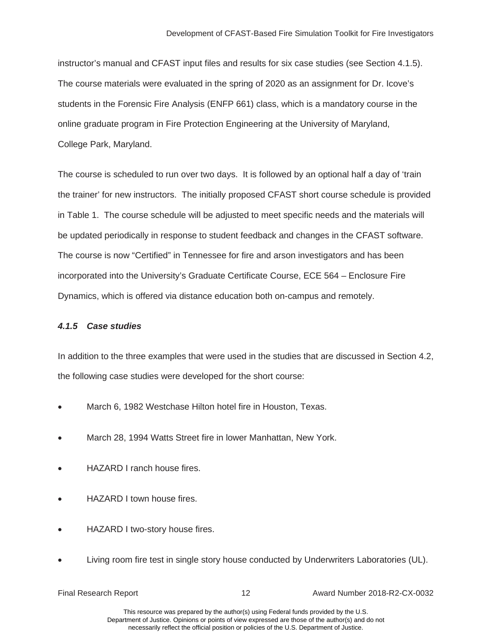<span id="page-18-0"></span> online graduate program in Fire Protection Engineering at the University of Maryland, instructor's manual and CFAST input files and results for six case studies (see Section 4.1.5). The course materials were evaluated in the spring of 2020 as an assignment for Dr. Icove's students in the Forensic Fire Analysis (ENFP 661) class, which is a mandatory course in the College Park, Maryland.

be updated periodically in response to student feedback and changes in the CFAST software. The course is scheduled to run over two days. It is followed by an optional half a day of 'train the trainer' for new instructors. The initially proposed CFAST short course schedule is provided in Table 1. The course schedule will be adjusted to meet specific needs and the materials will The course is now "Certified" in Tennessee for fire and arson investigators and has been incorporated into the University's Graduate Certificate Course, ECE 564 – Enclosure Fire Dynamics, which is offered via distance education both on-campus and remotely.

### *4.1.5 Case studies*

In addition to the three examples that were used in the studies that are discussed in Section 4.2, the following case studies were developed for the short course:

- March 6, 1982 Westchase Hilton hotel fire in Houston, Texas.
- March 28, 1994 Watts Street fire in lower Manhattan, New York.
- HAZARD I ranch house fires.
- HAZARD I town house fires.
- HAZARD I two-story house fires.
- Living room fire test in single story house conducted by Underwriters Laboratories (UL).

| <b>Final Research Report</b> |  |
|------------------------------|--|
|                              |  |

Final Research Report 12 Award Number 2018-R2-CX-0032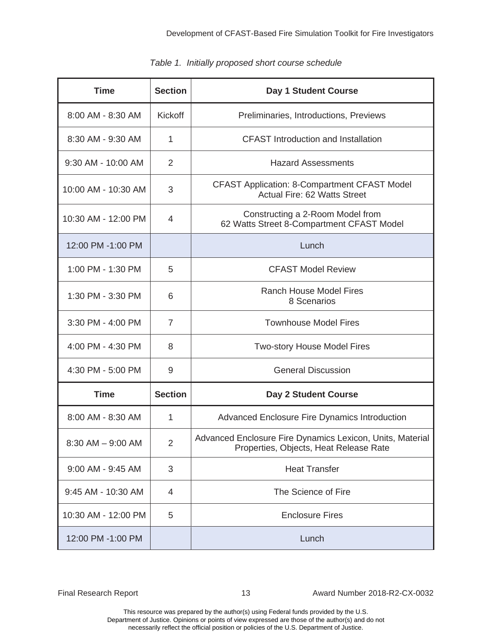| <b>Time</b>         | <b>Section</b> | Day 1 Student Course                                                                                |  |
|---------------------|----------------|-----------------------------------------------------------------------------------------------------|--|
| 8:00 AM - 8:30 AM   | <b>Kickoff</b> | Preliminaries, Introductions, Previews                                                              |  |
| 8:30 AM - 9:30 AM   | 1              | <b>CFAST</b> Introduction and Installation                                                          |  |
| 9:30 AM - 10:00 AM  | 2              | <b>Hazard Assessments</b>                                                                           |  |
| 10:00 AM - 10:30 AM | 3              | <b>CFAST Application: 8-Compartment CFAST Model</b><br><b>Actual Fire: 62 Watts Street</b>          |  |
| 10:30 AM - 12:00 PM | 4              | Constructing a 2-Room Model from<br>62 Watts Street 8-Compartment CFAST Model                       |  |
| 12:00 PM -1:00 PM   |                | Lunch                                                                                               |  |
| 1:00 PM - 1:30 PM   | 5              | <b>CFAST Model Review</b>                                                                           |  |
| 1:30 PM - 3:30 PM   | 6              | <b>Ranch House Model Fires</b><br>8 Scenarios                                                       |  |
| 3:30 PM - 4:00 PM   | $\overline{7}$ | <b>Townhouse Model Fires</b>                                                                        |  |
| 4:00 PM - 4:30 PM   | 8              | <b>Two-story House Model Fires</b>                                                                  |  |
| 4:30 PM - 5:00 PM   | 9              | <b>General Discussion</b>                                                                           |  |
| <b>Time</b>         | <b>Section</b> | Day 2 Student Course                                                                                |  |
| 8:00 AM - 8:30 AM   | 1              | <b>Advanced Enclosure Fire Dynamics Introduction</b>                                                |  |
| 8:30 AM - 9:00 AM   | $\overline{2}$ | Advanced Enclosure Fire Dynamics Lexicon, Units, Material<br>Properties, Objects, Heat Release Rate |  |
| 9:00 AM - 9:45 AM   | 3              | <b>Heat Transfer</b>                                                                                |  |
| 9:45 AM - 10:30 AM  | 4              | The Science of Fire                                                                                 |  |
| 10:30 AM - 12:00 PM | 5              | <b>Enclosure Fires</b>                                                                              |  |
| 12:00 PM -1:00 PM   |                | Lunch                                                                                               |  |

|  |  | Table 1. Initially proposed short course schedule |  |  |  |
|--|--|---------------------------------------------------|--|--|--|
|--|--|---------------------------------------------------|--|--|--|

Final Research Report 13 Award Number 2018-R2-CX-0032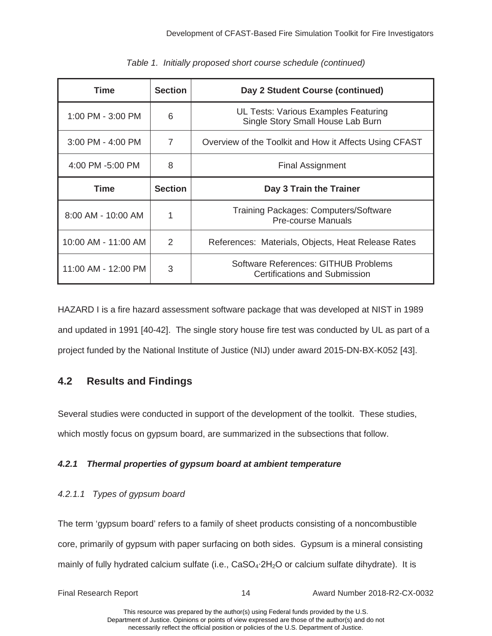| Time                    | <b>Section</b> | Day 2 Student Course (continued)                                          |  |
|-------------------------|----------------|---------------------------------------------------------------------------|--|
| 1:00 PM - 3:00 PM       | 6              | UL Tests: Various Examples Featuring<br>Single Story Small House Lab Burn |  |
| $3:00$ PM - 4:00 PM     | $\overline{7}$ | Overview of the Toolkit and How it Affects Using CFAST                    |  |
| 4:00 PM -5:00 PM        | 8              | <b>Final Assignment</b>                                                   |  |
| Time                    | <b>Section</b> | Day 3 Train the Trainer                                                   |  |
| $8:00$ AM - 10:00 AM    | 1              | <b>Training Packages: Computers/Software</b><br><b>Pre-course Manuals</b> |  |
| 10:00 AM - 11:00 AM     | 2              | References: Materials, Objects, Heat Release Rates                        |  |
| $11:00$ AM - $12:00$ PM | 3              | Software References: GITHUB Problems<br>Certifications and Submission     |  |

|  |  |  | Table 1. Initially proposed short course schedule (continued) |  |
|--|--|--|---------------------------------------------------------------|--|
|  |  |  |                                                               |  |

HAZARD I is a fire hazard assessment software package that was developed at NIST in 1989 and updated in 1991 [40-42]. The single story house fire test was conducted by UL as part of a project funded by the National Institute of Justice (NIJ) under award 2015-DN-BX-K052 [43].

# **4.2 Results and Findings**

 Several studies were conducted in support of the development of the toolkit. These studies, which mostly focus on gypsum board, are summarized in the subsections that follow.

### *4.2.1 Thermal properties of gypsum board at ambient temperature*

### *4.2.1.1 Types of gypsum board*

mainly of fully hydrated calcium sulfate (i.e.,  $CaSO_4:2H_2O$  or calcium sulfate dihydrate). It is The term 'gypsum board' refers to a family of sheet products consisting of a noncombustible core, primarily of gypsum with paper surfacing on both sides. Gypsum is a mineral consisting

| Final Research Report |  |
|-----------------------|--|
|                       |  |

Final Research Report 14 Award Number 2018-R2-CX-0032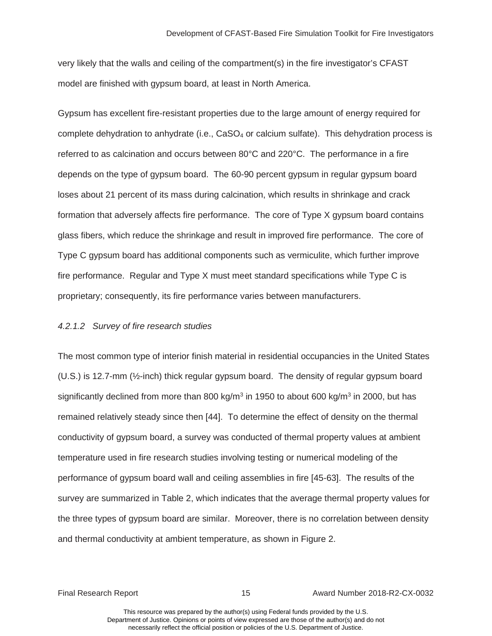very likely that the walls and ceiling of the compartment(s) in the fire investigator's CFAST model are finished with gypsum board, at least in North America.

complete dehydration to anhydrate (i.e.,  $CaSO<sub>4</sub>$  or calcium sulfate). This dehydration process is Gypsum has excellent fire-resistant properties due to the large amount of energy required for referred to as calcination and occurs between 80°C and 220°C. The performance in a fire depends on the type of gypsum board. The 60-90 percent gypsum in regular gypsum board loses about 21 percent of its mass during calcination, which results in shrinkage and crack formation that adversely affects fire performance. The core of Type X gypsum board contains glass fibers, which reduce the shrinkage and result in improved fire performance. The core of Type C gypsum board has additional components such as vermiculite, which further improve fire performance. Regular and Type X must meet standard specifications while Type C is proprietary; consequently, its fire performance varies between manufacturers.

#### *4.2.1.2 Survey of fire research studies*

 The most common type of interior finish material in residential occupancies in the United States (U.S.) is 12.7-mm (½-inch) thick regular gypsum board. The density of regular gypsum board performance of gypsum board wall and ceiling assemblies in fire [45-63]. The results of the survey are summarized in Table 2, which indicates that the average thermal property values for the three types of gypsum board are similar. Moreover, there is no correlation between density significantly declined from more than 800 kg/m<sup>3</sup> in 1950 to about 600 kg/m<sup>3</sup> in 2000, but has remained relatively steady since then [44]. To determine the effect of density on the thermal conductivity of gypsum board, a survey was conducted of thermal property values at ambient temperature used in fire research studies involving testing or numerical modeling of the and thermal conductivity at ambient temperature, as shown in Figure 2.

Final Research Report 15 Award Number 2018-R2-CX-0032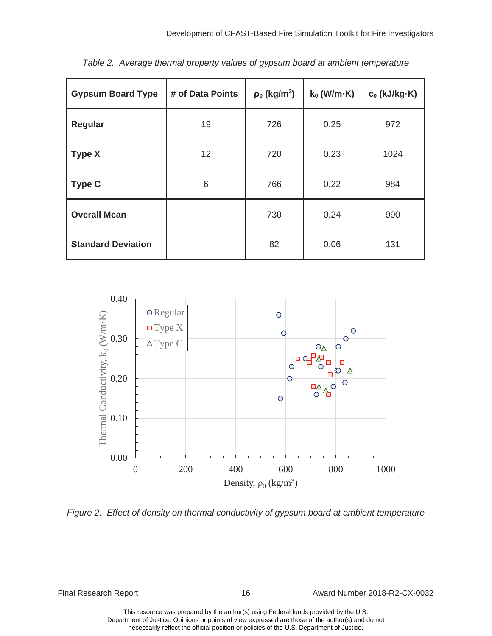| <b>Gypsum Board Type</b>  | # of Data Points | $\rho_0$ (kg/m <sup>3</sup> ) | $k_0$ (W/m $-K$ ) | $c_0$ (kJ/kg $\cdot$ K) |
|---------------------------|------------------|-------------------------------|-------------------|-------------------------|
| Regular                   | 19               | 726                           | 0.25              | 972                     |
| <b>Type X</b>             | 12 <sup>2</sup>  | 720                           | 0.23              | 1024                    |
| <b>Type C</b>             | 6                | 766                           | 0.22              | 984                     |
| <b>Overall Mean</b>       |                  | 730                           | 0.24              | 990                     |
| <b>Standard Deviation</b> |                  | 82                            | 0.06              | 131                     |

*Table 2. Average thermal property values of gypsum board at ambient temperature* 



Final Research Report 16 16 Award Number 2018-R2-CX-0032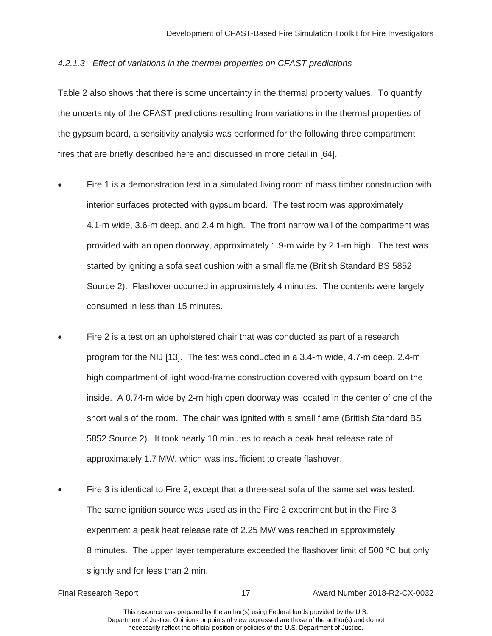#### *4.2.1.3 Effect of variations in the thermal properties on CFAST predictions*

Table 2 also shows that there is some uncertainty in the thermal property values. To quantify the uncertainty of the CFAST predictions resulting from variations in the thermal properties of the gypsum board, a sensitivity analysis was performed for the following three compartment fires that are briefly described here and discussed in more detail in [64].

- interior surfaces protected with gypsum board. The test room was approximately Fire 1 is a demonstration test in a simulated living room of mass timber construction with 4.1-m wide, 3.6-m deep, and 2.4 m high. The front narrow wall of the compartment was provided with an open doorway, approximately 1.9-m wide by 2.1-m high. The test was started by igniting a sofa seat cushion with a small flame (British Standard BS 5852 Source 2). Flashover occurred in approximately 4 minutes. The contents were largely consumed in less than 15 minutes.
- 5852 Source 2). It took nearly 10 minutes to reach a peak heat release rate of Fire 2 is a test on an upholstered chair that was conducted as part of a research program for the NIJ [13]. The test was conducted in a 3.4-m wide, 4.7-m deep, 2.4-m high compartment of light wood-frame construction covered with gypsum board on the inside. A 0.74-m wide by 2-m high open doorway was located in the center of one of the short walls of the room. The chair was ignited with a small flame (British Standard BS approximately 1.7 MW, which was insufficient to create flashover.
- <sup>x</sup> Fire 3 is identical to Fire 2, except that a three-seat sofa of the same set was tested. The same ignition source was used as in the Fire 2 experiment but in the Fire 3 experiment a peak heat release rate of 2.25 MW was reached in approximately 8 minutes. The upper layer temperature exceeded the flashover limit of 500 °C but only slightly and for less than 2 min.

Final Research Report 17 Award Number 2018-R2-CX-0032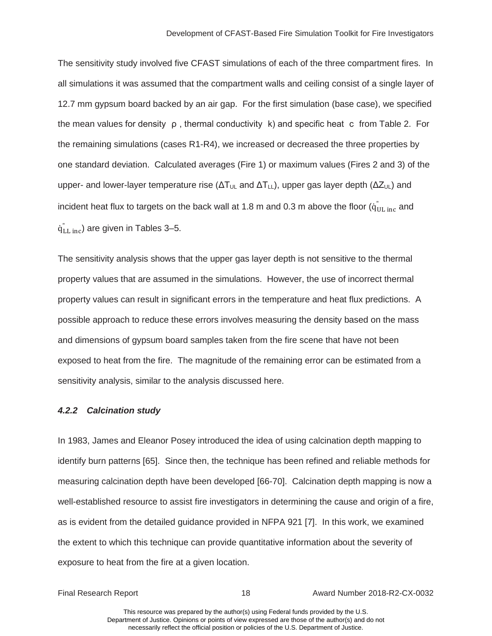<span id="page-24-0"></span> The sensitivity study involved five CFAST simulations of each of the three compartment fires. In the mean values for density  $\rho$ , thermal conductivity  $k$ ) and specific heat c from Table 2. For one standard deviation. Calculated averages (Fire 1) or maximum values (Fires 2 and 3) of the all simulations it was assumed that the compartment walls and ceiling consist of a single layer of 12.7 mm gypsum board backed by an air gap. For the first simulation (base case), we specified the remaining simulations (cases R1-R4), we increased or decreased the three properties by upper- and lower-layer temperature rise ( $\Delta T_{UL}$  and  $\Delta T_{LL}$ ), upper gas layer depth ( $\Delta Z_{UL}$ ) and incident heat flux to targets on the back wall at 1.8 m and 0.3 m above the floor ( $\ddot{{\mathsf{q}}}_{{\mathsf{UL}}|{\mathsf{inc}}}$  and  $\dot{\mathsf{q}}_{\text{LL inc}}^{''}$ ) are given in Tables 3–5.

 property values that are assumed in the simulations. However, the use of incorrect thermal exposed to heat from the fire. The magnitude of the remaining error can be estimated from a The sensitivity analysis shows that the upper gas layer depth is not sensitive to the thermal property values can result in significant errors in the temperature and heat flux predictions. A possible approach to reduce these errors involves measuring the density based on the mass and dimensions of gypsum board samples taken from the fire scene that have not been sensitivity analysis, similar to the analysis discussed here.

#### *4.2.2 Calcination study*

 as is evident from the detailed guidance provided in NFPA 921 [7]. In this work, we examined In 1983, James and Eleanor Posey introduced the idea of using calcination depth mapping to identify burn patterns [65]. Since then, the technique has been refined and reliable methods for measuring calcination depth have been developed [66-70]. Calcination depth mapping is now a well-established resource to assist fire investigators in determining the cause and origin of a fire, the extent to which this technique can provide quantitative information about the severity of exposure to heat from the fire at a given location.

Final Research Report 18 Award Number 2018-R2-CX-0032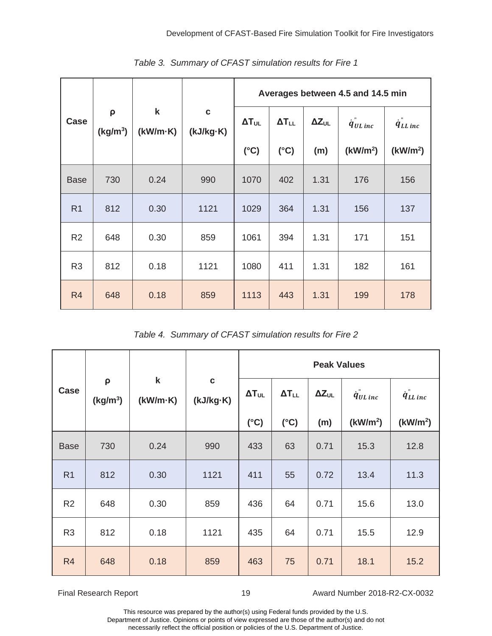|                |                                |                         |                          |                 |                 |                 | Averages between 4.5 and 14.5 min |                      |
|----------------|--------------------------------|-------------------------|--------------------------|-----------------|-----------------|-----------------|-----------------------------------|----------------------|
| Case           | $\rho$<br>(kg/m <sup>3</sup> ) | $\mathbf k$<br>(kW/m·K) | $\mathbf c$<br>(kJ/kg·K) | $\Delta T_{UL}$ | $\Delta T_{LL}$ | $\Delta Z_{UL}$ | $\dot{q}_{UL\,inc}$               | $\dot{q}_{LL\,inc}$  |
|                |                                |                         |                          | $(^{\circ}C)$   | $(^{\circ}C)$   | (m)             | (kW/m <sup>2</sup> )              | (kW/m <sup>2</sup> ) |
| <b>Base</b>    | 730                            | 0.24                    | 990                      | 1070            | 402             | 1.31            | 176                               | 156                  |
| R <sub>1</sub> | 812                            | 0.30                    | 1121                     | 1029            | 364             | 1.31            | 156                               | 137                  |
| R <sub>2</sub> | 648                            | 0.30                    | 859                      | 1061            | 394             | 1.31            | 171                               | 151                  |
| R <sub>3</sub> | 812                            | 0.18                    | 1121                     | 1080            | 411             | 1.31            | 182                               | 161                  |
| R <sub>4</sub> | 648                            | 0.18                    | 859                      | 1113            | 443             | 1.31            | 199                               | 178                  |

*Table 3. Summary of CFAST simulation results for Fire 1* 

*Table 4. Summary of CFAST simulation results for Fire 2* 

|                |                           |                         |                          | <b>Peak Values</b> |                 |                 |                      |                      |
|----------------|---------------------------|-------------------------|--------------------------|--------------------|-----------------|-----------------|----------------------|----------------------|
| Case           | ρ<br>(kg/m <sup>3</sup> ) | $\mathbf k$<br>(kW/m·K) | $\mathbf c$<br>(kJ/kg·K) | $\Delta T_{UL}$    | $\Delta T_{LL}$ | $\Delta Z_{UL}$ | $\dot{q}_{UL\,inc}$  | $\dot{q}_{LL\,inc}$  |
|                |                           |                         |                          | $(^{\circ}C)$      | $(^{\circ}C)$   | (m)             | (kW/m <sup>2</sup> ) | (kW/m <sup>2</sup> ) |
| <b>Base</b>    | 730                       | 0.24                    | 990                      | 433                | 63              | 0.71            | 15.3                 | 12.8                 |
| R <sub>1</sub> | 812                       | 0.30                    | 1121                     | 411                | 55              | 0.72            | 13.4                 | 11.3                 |
| R <sub>2</sub> | 648                       | 0.30                    | 859                      | 436                | 64              | 0.71            | 15.6                 | 13.0                 |
| R <sub>3</sub> | 812                       | 0.18                    | 1121                     | 435                | 64              | 0.71            | 15.5                 | 12.9                 |
| R <sub>4</sub> | 648                       | 0.18                    | 859                      | 463                | 75              | 0.71            | 18.1                 | 15.2                 |

Final Research Report 19 19 Award Number 2018-R2-CX-0032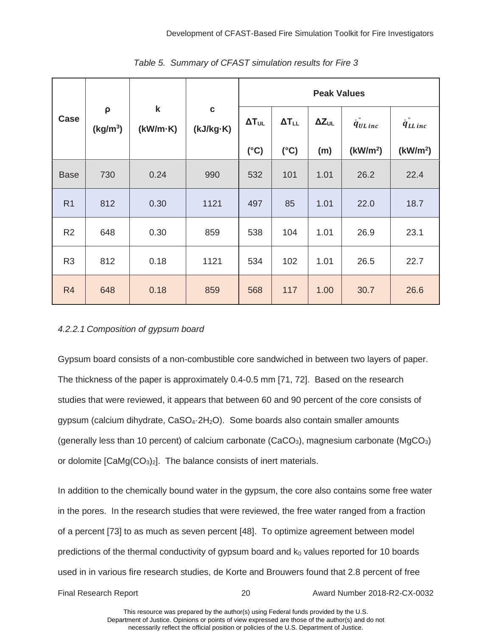|                |                           |                         |                          |                 | <b>Peak Values</b> |                 |                      |                          |  |
|----------------|---------------------------|-------------------------|--------------------------|-----------------|--------------------|-----------------|----------------------|--------------------------|--|
| Case           | ρ<br>(kg/m <sup>3</sup> ) | $\mathsf k$<br>(kW/m·K) | $\mathbf c$<br>(kJ/kg·K) | $\Delta T_{UL}$ | $\Delta T_{LL}$    | $\Delta Z_{UL}$ | $\dot{q}_{UL\,inc}$  | $\dot{q}_{LL\,inc}^{''}$ |  |
|                |                           |                         |                          | $(^{\circ}C)$   | $(^{\circ}C)$      | (m)             | (kW/m <sup>2</sup> ) | (kW/m <sup>2</sup> )     |  |
| <b>Base</b>    | 730                       | 0.24                    | 990                      | 532             | 101                | 1.01            | 26.2                 | 22.4                     |  |
| R <sub>1</sub> | 812                       | 0.30                    | 1121                     | 497             | 85                 | 1.01            | 22.0                 | 18.7                     |  |
| R <sub>2</sub> | 648                       | 0.30                    | 859                      | 538             | 104                | 1.01            | 26.9                 | 23.1                     |  |
| R <sub>3</sub> | 812                       | 0.18                    | 1121                     | 534             | 102                | 1.01            | 26.5                 | 22.7                     |  |
| R <sub>4</sub> | 648                       | 0.18                    | 859                      | 568             | 117                | 1.00            | 30.7                 | 26.6                     |  |

*Table 5. Summary of CFAST simulation results for Fire 3* 

### *4.2.2.1 Composition of gypsum board*

Gypsum board consists of a non-combustible core sandwiched in between two layers of paper. Gypsum board consists of a non-combustible core sandwiched in between two layers of paper.<br>The thickness of the paper is approximately 0.4-0.5 mm [71, 72]. Based on the research or dolomite  $[CaMg(CO<sub>3</sub>)<sub>2</sub>]$ . The balance consists of inert materials. studies that were reviewed, it appears that between 60 and 90 percent of the core consists of gypsum (calcium dihydrate,  $CaSO<sub>4</sub>·2H<sub>2</sub>O$ ). Some boards also contain smaller amounts (generally less than 10 percent) of calcium carbonate (CaCO<sub>3</sub>), magnesium carbonate (MgCO<sub>3</sub>)

In addition to the chemically bound water in the gypsum, the core also contains some free water in the pores. In the research studies that were reviewed, the free water ranged from a fraction of a percent [73] to as much as seven percent [48]. To optimize agreement between model predictions of the thermal conductivity of gypsum board and  $k_0$  values reported for 10 boards used in in various fire research studies, de Korte and Brouwers found that 2.8 percent of free

Final Research Report 20 Award Number 2018-R2-CX-0032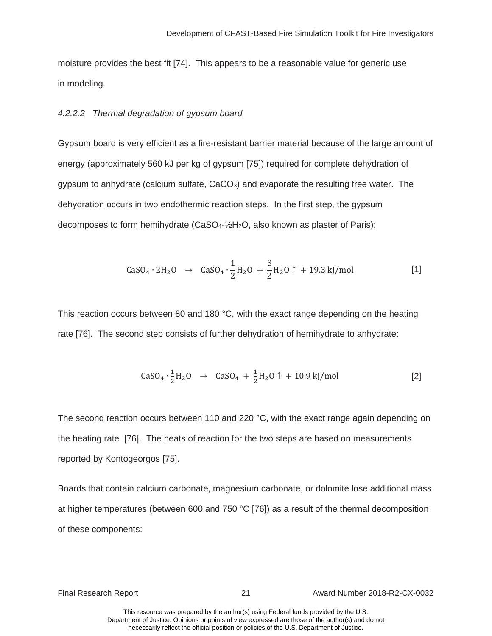moisture provides the best fit [74]. This appears to be a reasonable value for generic use in modeling.

#### *4.2.2.2 Thermal degradation of gypsum board*

 dehydration occurs in two endothermic reaction steps. In the first step, the gypsum Gypsum board is very efficient as a fire-resistant barrier material because of the large amount of energy (approximately 560 kJ per kg of gypsum [75]) required for complete dehydration of gypsum to anhydrate (calcium sulfate,  $CaCO<sub>3</sub>$ ) and evaporate the resulting free water. The decomposes to form hemihydrate (CaSO<sub>4</sub>·1/<sub>2</sub>H<sub>2</sub>O, also known as plaster of Paris):

$$
CaSO_4 \cdot 2H_2O \rightarrow CaSO_4 \cdot \frac{1}{2}H_2O + \frac{3}{2}H_2O \uparrow + 19.3 \text{ kJ/mol}
$$
 [1]

This reaction occurs between 80 and 180 °C, with the exact range depending on the heating rate [76]. The second step consists of further dehydration of hemihydrate to anhydrate:

$$
CaSO_4 \cdot \frac{1}{2}H_2O \rightarrow CaSO_4 + \frac{1}{2}H_2O \uparrow + 10.9 \text{ kJ/mol}
$$
 [2]

The second reaction occurs between 110 and 220 °C, with the exact range again depending on the heating rate [76]. The heats of reaction for the two steps are based on measurements reported by Kontogeorgos [75].

Boards that contain calcium carbonate, magnesium carbonate, or dolomite lose additional mass at higher temperatures (between 600 and 750 °C [76]) as a result of the thermal decomposition of these components:

Final Research Report 21 Award Number 2018-R2-CX-0032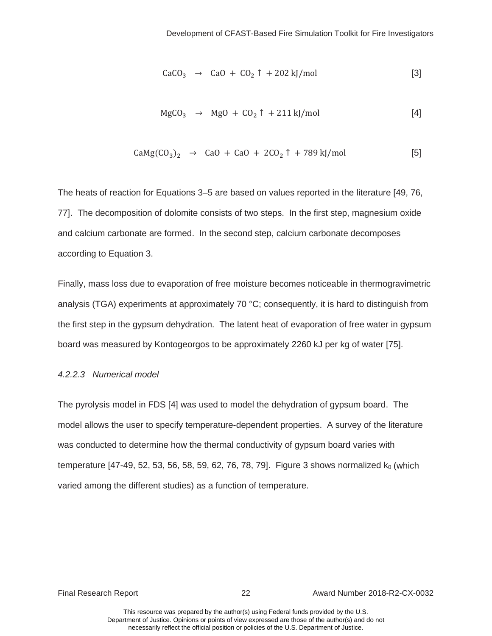$$
CaCO3 \rightarrow CaO + CO2 \uparrow + 202 \text{ kJ/mol}
$$
 [3]

$$
MgCO3 \rightarrow MgO + CO2 \uparrow + 211 \text{ kJ/mol}
$$
 [4]

$$
CaMg(CO3)2 \rightarrow CaO + CaO + 2CO2 \uparrow + 789 \text{ kJ/mol}
$$
 [5]

 77]. The decomposition of dolomite consists of two steps. In the first step, magnesium oxide and calcium carbonate are formed. In the second step, calcium carbonate decomposes The heats of reaction for Equations 3–5 are based on values reported in the literature [49, 76, according to Equation 3.

Finally, mass loss due to evaporation of free moisture becomes noticeable in thermogravimetric analysis (TGA) experiments at approximately 70 °C; consequently, it is hard to distinguish from the first step in the gypsum dehydration. The latent heat of evaporation of free water in gypsum board was measured by Kontogeorgos to be approximately 2260 kJ per kg of water [75].

#### *4.2.2.3 Numerical model*

 The pyrolysis model in FDS [4] was used to model the dehydration of gypsum board. The model allows the user to specify temperature-dependent properties. A survey of the literature was conducted to determine how the thermal conductivity of gypsum board varies with temperature  $[47-49, 52, 53, 56, 58, 59, 62, 76, 78, 79]$ . Figure 3 shows normalized  $k_0$  (which varied among the different studies) as a function of temperature.

Final Research Report 22 Award Number 2018-R2-CX-0032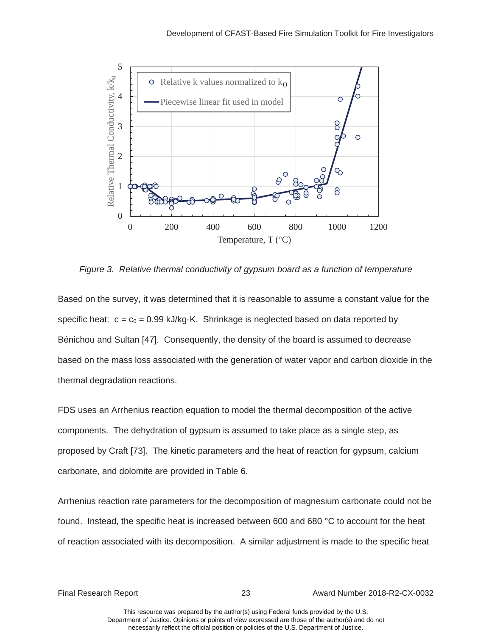<span id="page-29-0"></span>

*Figure 3. Relative thermal conductivity of gypsum board as a function of temperature* 

Based on the survey, it was determined that it is reasonable to assume a constant value for the specific heat:  $c = c_0 = 0.99$  kJ/kg·K. Shrinkage is neglected based on data reported by Bénichou and Sultan [47]. Consequently, the density of the board is assumed to decrease based on the mass loss associated with the generation of water vapor and carbon dioxide in the thermal degradation reactions.

 FDS uses an Arrhenius reaction equation to model the thermal decomposition of the active components. The dehydration of gypsum is assumed to take place as a single step, as proposed by Craft [73]. The kinetic parameters and the heat of reaction for gypsum, calcium carbonate, and dolomite are provided in Table 6.

 found. Instead, the specific heat is increased between 600 and 680 °C to account for the heat Arrhenius reaction rate parameters for the decomposition of magnesium carbonate could not be of reaction associated with its decomposition. A similar adjustment is made to the specific heat

Final Research Report 23 Award Number 2018-R2-CX-0032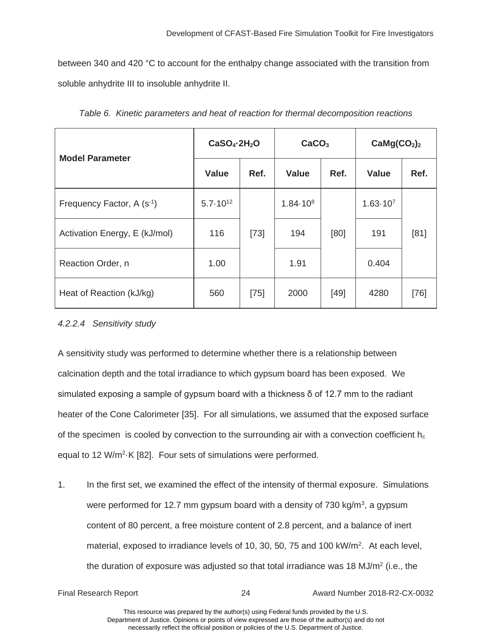between 340 and 420 °C to account for the enthalpy change associated with the transition from soluble anhydrite III to insoluble anhydrite II.

| <b>Model Parameter</b>                 | CaSO <sub>4</sub> ·2H <sub>2</sub> O |        | CaCO <sub>3</sub> |        | CaMg(CO <sub>2</sub> ) <sub>2</sub> |        |
|----------------------------------------|--------------------------------------|--------|-------------------|--------|-------------------------------------|--------|
|                                        | <b>Value</b>                         | Ref.   | <b>Value</b>      | Ref.   | <b>Value</b>                        | Ref.   |
| Frequency Factor, A (s <sup>-1</sup> ) | $5.7 \cdot 10^{12}$                  |        | $1.84 \cdot 10^8$ |        | $1.63 \cdot 10^{7}$                 |        |
| Activation Energy, E (kJ/mol)          | 116                                  | $[73]$ | 194               | [80]   | 191                                 | [81]   |
| Reaction Order, n                      | 1.00                                 |        | 1.91              |        | 0.404                               |        |
| Heat of Reaction (kJ/kg)               | 560                                  | $[75]$ | 2000              | $[49]$ | 4280                                | $[76]$ |

*Table 6. Kinetic parameters and heat of reaction for thermal decomposition reactions* 

## *4.2.2.4 Sensitivity study*

 calcination depth and the total irradiance to which gypsum board has been exposed. We A sensitivity study was performed to determine whether there is a relationship between simulated exposing a sample of gypsum board with a thickness  $\delta$  of 12.7 mm to the radiant heater of the Cone Calorimeter [35]. For all simulations, we assumed that the exposed surface of the specimen is cooled by convection to the surrounding air with a convection coefficient  $h_c$ equal to 12 W/m<sup>2</sup>·K [82]. Four sets of simulations were performed.

material, exposed to irradiance levels of 10, 30, 50, 75 and 100 kW/ $m^2$ . At each level, 1. In the first set, we examined the effect of the intensity of thermal exposure. Simulations were performed for 12.7 mm gypsum board with a density of 730 kg/m<sup>3</sup>, a gypsum content of 80 percent, a free moisture content of 2.8 percent, and a balance of inert the duration of exposure was adjusted so that total irradiance was 18 MJ/m<sup>2</sup> (i.e., the

Final Research Report 24 Award Number 2018-R2-CX-0032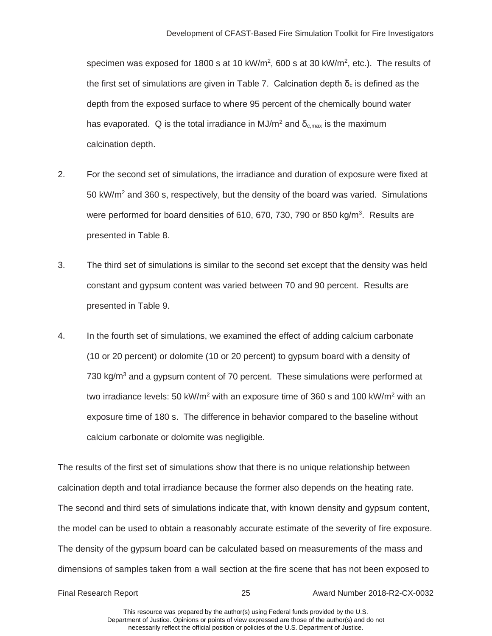specimen was exposed for 1800 s at 10 kW/m<sup>2</sup>, 600 s at 30 kW/m<sup>2</sup>, etc.). The results of the first set of simulations are given in Table 7. Calcination depth  $\delta_c$  is defined as the depth from the exposed surface to where 95 percent of the chemically bound water has evaporated. Q is the total irradiance in MJ/m<sup>2</sup> and  $\delta_{c,max}$  is the maximum calcination depth.

- were performed for board densities of 610, 670, 730, 790 or 850 kg/m<sup>3</sup>. Results are 2. For the second set of simulations, the irradiance and duration of exposure were fixed at 50 kW/ $m<sup>2</sup>$  and 360 s, respectively, but the density of the board was varied. Simulations presented in Table 8.
- presented in Table 9. presented in Table 9.<br>4. In the fourth set of simulations, we examined the effect of adding calcium carbonate 3. The third set of simulations is similar to the second set except that the density was held constant and gypsum content was varied between 70 and 90 percent. Results are
- (10 or 20 percent) or dolomite (10 or 20 percent) to gypsum board with a density of 730 kg/m<sup>3</sup> and a gypsum content of 70 percent. These simulations were performed at two irradiance levels: 50 kW/m<sup>2</sup> with an exposure time of 360 s and 100 kW/m<sup>2</sup> with an exposure time of 180 s. The difference in behavior compared to the baseline without calcium carbonate or dolomite was negligible.

calcination depth and total irradiance because the former also depends on the heating rate. The results of the first set of simulations show that there is no unique relationship between The second and third sets of simulations indicate that, with known density and gypsum content, the model can be used to obtain a reasonably accurate estimate of the severity of fire exposure. The density of the gypsum board can be calculated based on measurements of the mass and dimensions of samples taken from a wall section at the fire scene that has not been exposed to

Final Research Report 25 Award Number 2018-R2-CX-0032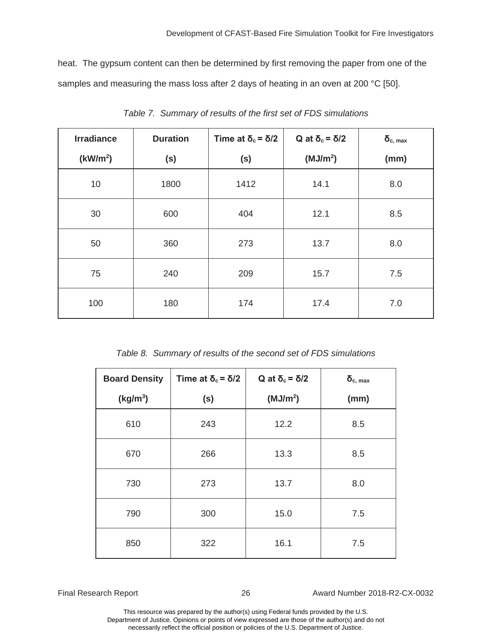samples and measuring the mass loss after 2 days of heating in an oven at 200 °C [50]. heat. The gypsum content can then be determined by first removing the paper from one of the

| <b>Irradiance</b>    | <b>Duration</b> | Time at $\delta_c = \delta/2$ | Q at $\delta_c = \delta/2$ | $\delta_{c, max}$ |
|----------------------|-----------------|-------------------------------|----------------------------|-------------------|
| (kW/m <sup>2</sup> ) | (s)             | (s)                           | (MJ/m <sup>2</sup> )       | (mm)              |
| 10                   | 1800            | 1412                          | 14.1                       | 8.0               |
| 30                   | 600             | 404                           | 12.1                       | 8.5               |
| 50                   | 360             | 273                           | 13.7                       | 8.0               |
| 75                   | 240             | 209                           | 15.7                       | 7.5               |
| 100                  | 180             | 174                           | 17.4                       | 7.0               |

 *Table 7. Summary of results of the first set of FDS simulations* 

 *Table 8. Summary of results of the second set of FDS simulations* 

| <b>Board Density</b> | Time at $\delta_c = \delta/2$ | Q at $\delta_c$ = $\delta/2$ | $\delta_{c, max}$ |
|----------------------|-------------------------------|------------------------------|-------------------|
| (kg/m <sup>3</sup> ) | (s)                           | (MJ/m <sup>2</sup> )         | (mm)              |
| 610                  | 243                           | 12.2                         | 8.5               |
| 670                  | 266                           | 13.3                         | 8.5               |
| 730                  | 273                           | 13.7                         | 8.0               |
| 790                  | 300                           | 15.0                         | 7.5               |
| 850                  | 322                           | 16.1                         | 7.5               |

Final Research Report 26 26 Award Number 2018-R2-CX-0032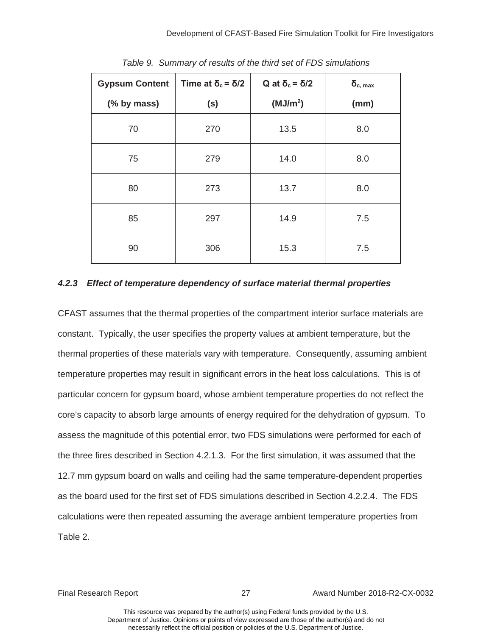| <b>Gypsum Content</b> | Time at $\delta_c = \delta/2$ | Q at $\delta_c$ = δ/2 | $\delta_{c, max}$ |
|-----------------------|-------------------------------|-----------------------|-------------------|
| (% by mass)           | (s)                           | (MJ/m <sup>2</sup> )  | (mm)              |
| 70                    | 270                           | 13.5                  | 8.0               |
| 75                    | 279                           | 14.0                  | 8.0               |
| 80                    | 273                           | 13.7                  | 8.0               |
| 85                    | 297                           | 14.9                  | 7.5               |
| 90                    | 306                           | 15.3                  | 7.5               |

 *Table 9. Summary of results of the third set of FDS simulations* 

#### *4.2.3 Effect of temperature dependency of surface material thermal properties*

 the three fires described in Section 4.2.1.3. For the first simulation, it was assumed that the as the board used for the first set of FDS simulations described in Section 4.2.2.4. The FDS CFAST assumes that the thermal properties of the compartment interior surface materials are constant. Typically, the user specifies the property values at ambient temperature, but the thermal properties of these materials vary with temperature. Consequently, assuming ambient temperature properties may result in significant errors in the heat loss calculations. This is of particular concern for gypsum board, whose ambient temperature properties do not reflect the core's capacity to absorb large amounts of energy required for the dehydration of gypsum. To assess the magnitude of this potential error, two FDS simulations were performed for each of 12.7 mm gypsum board on walls and ceiling had the same temperature-dependent properties calculations were then repeated assuming the average ambient temperature properties from Table 2.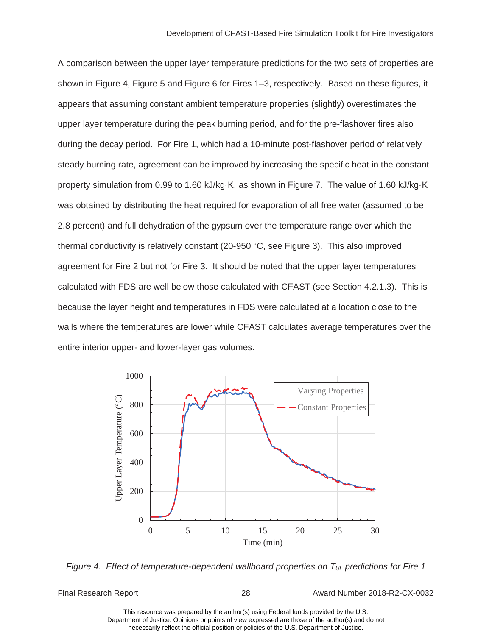<span id="page-34-0"></span> property simulation from 0.99 to 1.60 kJ/kg·K, as shown in Figure 7. The value of 1.60 kJ/kg·K thermal conductivity is relatively constant (20-950 °C, see Figure 3). This also improved agreement for Fire 2 but not for Fire 3. It should be noted that the upper layer temperatures A comparison between the upper layer temperature predictions for the two sets of properties are shown in Figure 4, Figure 5 and Figure 6 for Fires 1–3, respectively. Based on these figures, it appears that assuming constant ambient temperature properties (slightly) overestimates the upper layer temperature during the peak burning period, and for the pre-flashover fires also during the decay period. For Fire 1, which had a 10-minute post-flashover period of relatively steady burning rate, agreement can be improved by increasing the specific heat in the constant was obtained by distributing the heat required for evaporation of all free water (assumed to be 2.8 percent) and full dehydration of the gypsum over the temperature range over which the calculated with FDS are well below those calculated with CFAST (see Section 4.2.1.3). This is because the layer height and temperatures in FDS were calculated at a location close to the walls where the temperatures are lower while CFAST calculates average temperatures over the entire interior upper- and lower-layer gas volumes.



*Figure 4. Effect of temperature-dependent wallboard properties on T<sub>UL</sub> predictions for Fire 1* 

Final Research Report 28 Award Number 2018-R2-CX-0032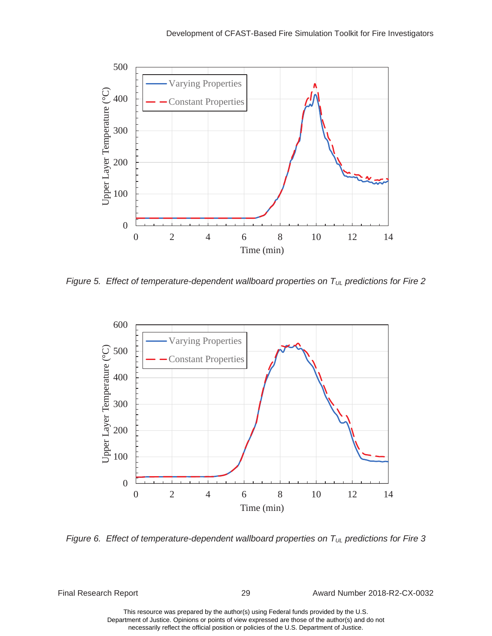<span id="page-35-0"></span>

Figure 5. Effect of temperature-dependent wallboard properties on T<sub>UL</sub> predictions for Fire 2



*Figure 6. Effect of temperature-dependent wallboard properties on T<sub>UL</sub> predictions for Fire 3* 

Final Research Report 29 Award Number 2018-R2-CX-0032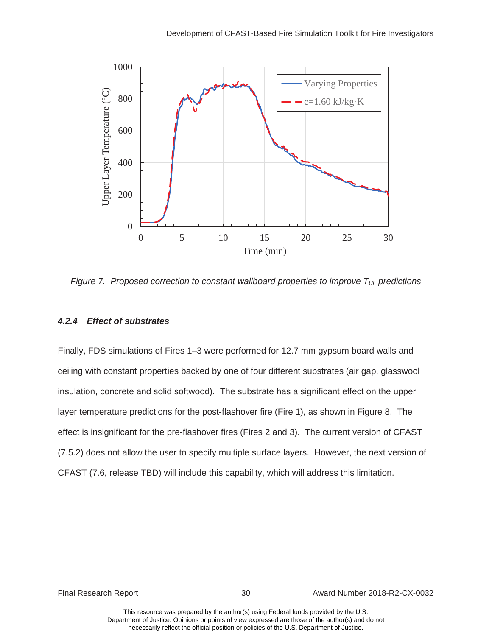<span id="page-36-0"></span>

*Figure 7. Proposed correction to constant wallboard properties to improve*  $T_{UL}$  *predictions* 

#### *4.2.4 Effect of substrates*

 ceiling with constant properties backed by one of four different substrates (air gap, glasswool layer temperature predictions for the post-flashover fire (Fire 1), as shown in Figure 8. The Finally, FDS simulations of Fires 1–3 were performed for 12.7 mm gypsum board walls and insulation, concrete and solid softwood). The substrate has a significant effect on the upper effect is insignificant for the pre-flashover fires (Fires 2 and 3). The current version of CFAST (7.5.2) does not allow the user to specify multiple surface layers. However, the next version of

Final Research Report 30 Award Number 2018-R2-CX-0032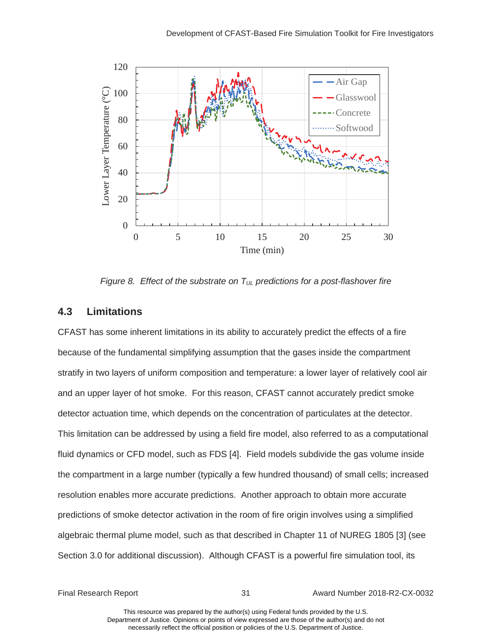<span id="page-37-0"></span>

*Figure 8. Effect of the substrate on*  $T_{UL}$  *predictions for a post-flashover fire* 

## **4.3 Limitations**

CFAST has some inherent limitations in its ability to accurately predict the effects of a fire because of the fundamental simplifying assumption that the gases inside the compartment stratify in two layers of uniform composition and temperature: a lower layer of relatively cool air and an upper layer of hot smoke. For this reason, CFAST cannot accurately predict smoke detector actuation time, which depends on the concentration of particulates at the detector. This limitation can be addressed by using a field fire model, also referred to as a computational fluid dynamics or CFD model, such as FDS [4]. Field models subdivide the gas volume inside the compartment in a large number (typically a few hundred thousand) of small cells; increased resolution enables more accurate predictions. Another approach to obtain more accurate predictions of smoke detector activation in the room of fire origin involves using a simplified algebraic thermal plume model, such as that described in Chapter 11 of NUREG 1805 [3] (see Section 3.0 for additional discussion). Although CFAST is a powerful fire simulation tool, its

Final Research Report 31 Award Number 2018-R2-CX-0032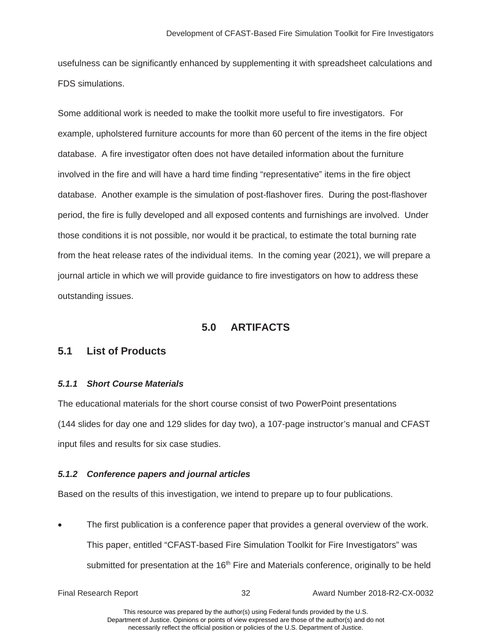<span id="page-38-0"></span>usefulness can be significantly enhanced by supplementing it with spreadsheet calculations and FDS simulations.

 from the heat release rates of the individual items. In the coming year (2021), we will prepare a Some additional work is needed to make the toolkit more useful to fire investigators. For example, upholstered furniture accounts for more than 60 percent of the items in the fire object database. A fire investigator often does not have detailed information about the furniture involved in the fire and will have a hard time finding "representative" items in the fire object database. Another example is the simulation of post-flashover fires. During the post-flashover period, the fire is fully developed and all exposed contents and furnishings are involved. Under those conditions it is not possible, nor would it be practical, to estimate the total burning rate journal article in which we will provide guidance to fire investigators on how to address these outstanding issues.

## **5.0 ARTIFACTS**

## **5.1 List of Products**

### *5.1.1 Short Course Materials*

The educational materials for the short course consist of two PowerPoint presentations (144 slides for day one and 129 slides for day two), a 107-page instructor's manual and CFAST input files and results for six case studies.

### *5.1.2 Conference papers and journal articles*

Based on the results of this investigation, we intend to prepare up to four publications.

• The first publication is a conference paper that provides a general overview of the work. This paper, entitled "CFAST-based Fire Simulation Toolkit for Fire Investigators" was submitted for presentation at the 16<sup>th</sup> Fire and Materials conference, originally to be held

Final Research Report 32 Award Number 2018-R2-CX-0032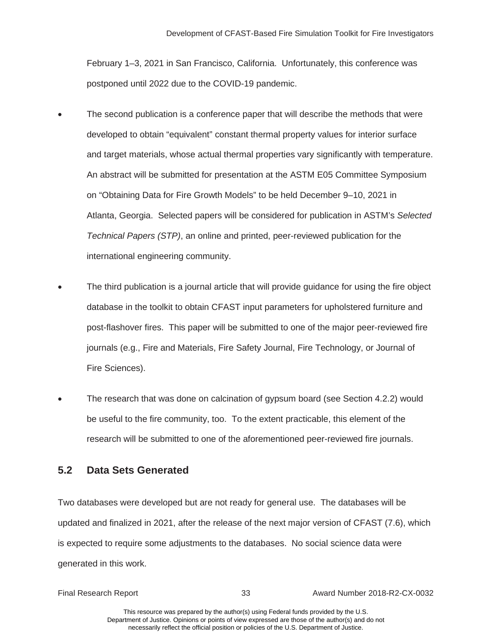<span id="page-39-0"></span>February 1–3, 2021 in San Francisco, California. Unfortunately, this conference was postponed until 2022 due to the COVID-19 pandemic.

- and target materials, whose actual thermal properties vary significantly with temperature. on "Obtaining Data for Fire Growth Models" to be held December 9–10, 2021 in The second publication is a conference paper that will describe the methods that were developed to obtain "equivalent" constant thermal property values for interior surface An abstract will be submitted for presentation at the ASTM E05 Committee Symposium Atlanta, Georgia. Selected papers will be considered for publication in ASTM's *Selected Technical Papers (STP)*, an online and printed, peer-reviewed publication for the international engineering community.
- The third publication is a journal article that will provide guidance for using the fire object database in the toolkit to obtain CFAST input parameters for upholstered furniture and post-flashover fires. This paper will be submitted to one of the major peer-reviewed fire journals (e.g., Fire and Materials, Fire Safety Journal, Fire Technology, or Journal of Fire Sciences).
- The research that was done on calcination of gypsum board (see Section 4.2.2) would be useful to the fire community, too. To the extent practicable, this element of the research will be submitted to one of the aforementioned peer-reviewed fire journals.

# **5.2 Data Sets Generated**

 Two databases were developed but are not ready for general use. The databases will be updated and finalized in 2021, after the release of the next major version of CFAST (7.6), which is expected to require some adjustments to the databases. No social science data were generated in this work.

Final Research Report 33 Award Number 2018-R2-CX-0032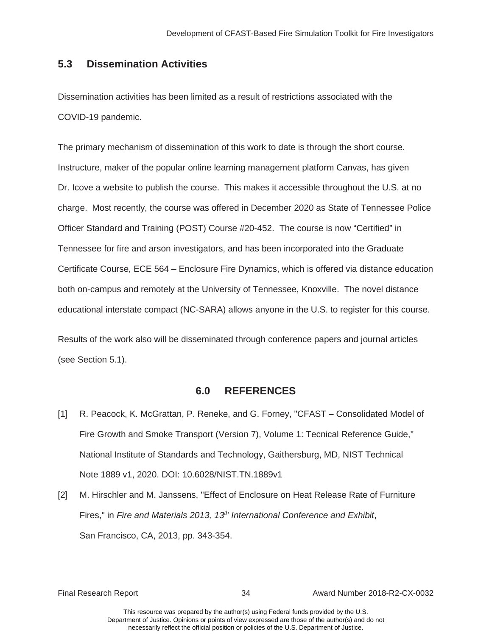### <span id="page-40-0"></span>**5.3 Dissemination Activities**

Dissemination activities has been limited as a result of restrictions associated with the COVID-19 pandemic.

 The primary mechanism of dissemination of this work to date is through the short course. charge. Most recently, the course was offered in December 2020 as State of Tennessee Police educational interstate compact (NC-SARA) allows anyone in the U.S. to register for this course. Instructure, maker of the popular online learning management platform Canvas, has given Dr. Icove a website to publish the course. This makes it accessible throughout the U.S. at no Officer Standard and Training (POST) Course #20-452. The course is now "Certified" in Tennessee for fire and arson investigators, and has been incorporated into the Graduate Certificate Course, ECE 564 – Enclosure Fire Dynamics, which is offered via distance education both on-campus and remotely at the University of Tennessee, Knoxville. The novel distance

Results of the work also will be disseminated through conference papers and journal articles (see Section 5.1).

#### **6.0 REFERENCES**

- [1] R. Peacock, K. McGrattan, P. Reneke, and G. Forney, "CFAST Consolidated Model of Fire Growth and Smoke Transport (Version 7), Volume 1: Tecnical Reference Guide," National Institute of Standards and Technology, Gaithersburg, MD, NIST Technical Note 1889 v1, 2020. DOI: 10.6028/NIST.TN.1889v1
- [2] M. Hirschler and M. Janssens, "Effect of Enclosure on Heat Release Rate of Furniture Fires," in *Fire and Materials 2013, 13<sup>th</sup> International Conference and Exhibit,* San Francisco, CA, 2013, pp. 343-354.

Final Research Report 34 Award Number 2018-R2-CX-0032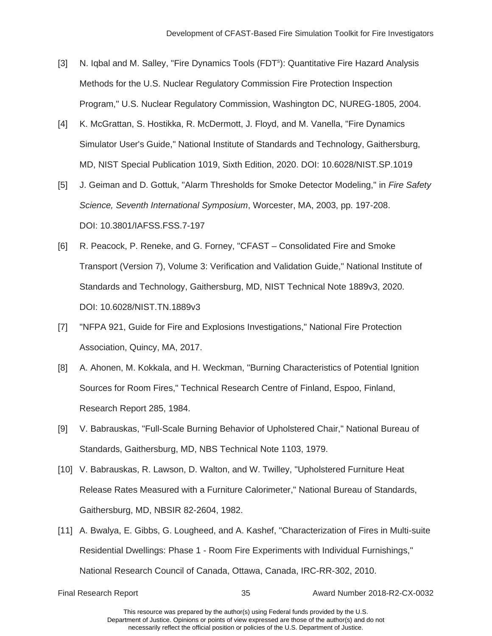- Program," U.S. Nuclear Regulatory Commission, Washington DC, NUREG-1805, 2004. [3] N. Iqbal and M. Salley, "Fire Dynamics Tools (FDT<sup>s</sup>): Quantitative Fire Hazard Analysis Methods for the U.S. Nuclear Regulatory Commission Fire Protection Inspection
- [4] K. McGrattan, S. Hostikka, R. McDermott, J. Floyd, and M. Vanella, "Fire Dynamics Simulator User's Guide," National Institute of Standards and Technology, Gaithersburg, MD, NIST Special Publication 1019, Sixth Edition, 2020. DOI: 10.6028/NIST.SP.1019
- [5] J. Geiman and D. Gottuk, "Alarm Thresholds for Smoke Detector Modeling," in *Fire Safety Science, Seventh International Symposium*, Worcester, MA, 2003, pp. 197-208. DOI: 10.3801/IAFSS.FSS.7-197
- [6] R. Peacock, P. Reneke, and G. Forney, "CFAST Consolidated Fire and Smoke Transport (Version 7), Volume 3: Verification and Validation Guide," National Institute of Standards and Technology, Gaithersburg, MD, NIST Technical Note 1889v3, 2020. DOI: 10.6028/NIST.TN.1889v3
- [7] "NFPA 921, Guide for Fire and Explosions Investigations," National Fire Protection Association, Quincy, MA, 2017.
- Research Report 285, 1984. [8] A. Ahonen, M. Kokkala, and H. Weckman, "Burning Characteristics of Potential Ignition Sources for Room Fires," Technical Research Centre of Finland, Espoo, Finland,
- [9] V. Babrauskas, "Full-Scale Burning Behavior of Upholstered Chair," National Bureau of Standards, Gaithersburg, MD, NBS Technical Note 1103, 1979.
- Gaithersburg, MD, NBSIR 82-2604, 1982. [10] V. Babrauskas, R. Lawson, D. Walton, and W. Twilley, "Upholstered Furniture Heat Release Rates Measured with a Furniture Calorimeter," National Bureau of Standards,
- Gaithersburg, MD, NBSIR 82-2604, 1982. [11] A. Bwalya, E. Gibbs, G. Lougheed, and A. Kashef, "Characterization of Fires in Multi-suite National Research Council of Canada, Ottawa, Canada, IRC-RR-302, 2010. Final Research Report 35 Award Number 2018-R2-CX-0032 Residential Dwellings: Phase 1 - Room Fire Experiments with Individual Furnishings,"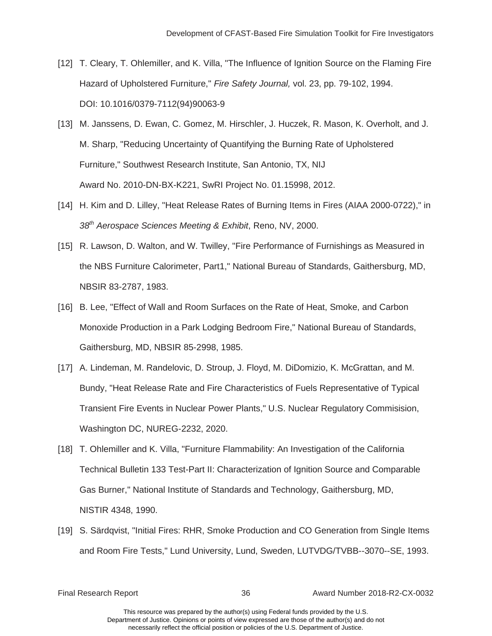- [12] T. Cleary, T. Ohlemiller, and K. Villa, "The Influence of Ignition Source on the Flaming Fire Hazard of Upholstered Furniture," *Fire Safety Journal,* vol. 23, pp. 79-102, 1994. DOI: 10.1016/0379-7112(94)90063-9
- [13] M. Janssens, D. Ewan, C. Gomez, M. Hirschler, J. Huczek, R. Mason, K. Overholt, and J. Furniture," Southwest Research Institute, San Antonio, TX, NIJ M. Sharp, "Reducing Uncertainty of Quantifying the Burning Rate of Upholstered Award No. 2010-DN-BX-K221, SwRI Project No. 01.15998, 2012.
- 38th Aerospace Sciences Meeting & Exhibit, Reno, NV, 2000. [14] H. Kim and D. Lilley, "Heat Release Rates of Burning Items in Fires (AIAA 2000-0722)," in
- NBSIR 83-2787, 1983. *<sup>38</sup>th Aerospace Sciences Meeting & Exhibit*, Reno, NV, 2000. [15] R. Lawson, D. Walton, and W. Twilley, "Fire Performance of Furnishings as Measured in the NBS Furniture Calorimeter, Part1," National Bureau of Standards, Gaithersburg, MD,
- Gaithersburg, MD, NBSIR 85-2998, 1985. [16] B. Lee, "Effect of Wall and Room Surfaces on the Rate of Heat, Smoke, and Carbon Monoxide Production in a Park Lodging Bedroom Fire," National Bureau of Standards,
- Washington DC, NUREG-2232, 2020. [17] A. Lindeman, M. Randelovic, D. Stroup, J. Floyd, M. DiDomizio, K. McGrattan, and M. Bundy, "Heat Release Rate and Fire Characteristics of Fuels Representative of Typical Transient Fire Events in Nuclear Power Plants," U.S. Nuclear Regulatory Commisision,
- NISTIR 4348, 1990. [18] T. Ohlemiller and K. Villa, "Furniture Flammability: An Investigation of the California Technical Bulletin 133 Test-Part II: Characterization of Ignition Source and Comparable Gas Burner," National Institute of Standards and Technology, Gaithersburg, MD,
- [19] S. Särdqvist, "Initial Fires: RHR, Smoke Production and CO Generation from Single Items and Room Fire Tests," Lund University, Lund, Sweden, LUTVDG/TVBB--3070--SE, 1993.

Final Research Report 36 Award Number 2018-R2-CX-0032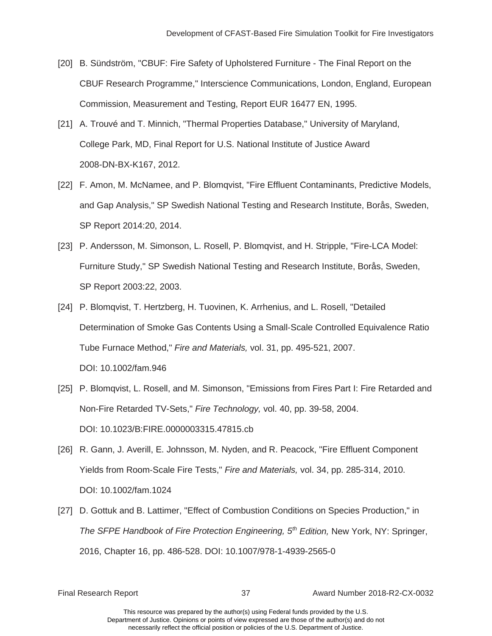- Commission, Measurement and Testing, Report EUR 16477 EN, 1995. [20] B. Sündström, "CBUF: Fire Safety of Upholstered Furniture - The Final Report on the CBUF Research Programme," Interscience Communications, London, England, European
- Commission, Measurement and Testing, Report EUR 16477 EN, 1995. [21] A. Trouvé and T. Minnich, "Thermal Properties Database," University of Maryland, College Park, MD, Final Report for U.S. National Institute of Justice Award 2008-DN-BX-K167, 2012.
- SP Report 2014:20, 2014. [22] F. Amon, M. McNamee, and P. Blomqvist, "Fire Effluent Contaminants, Predictive Models, and Gap Analysis," SP Swedish National Testing and Research Institute, Borås, Sweden,
- SP Report 2003:22, 2003. [23] P. Andersson, M. Simonson, L. Rosell, P. Blomqvist, and H. Stripple, "Fire-LCA Model: Furniture Study," SP Swedish National Testing and Research Institute, Borås, Sweden,
- [24] P. Blomqvist, T. Hertzberg, H. Tuovinen, K. Arrhenius, and L. Rosell, "Detailed Determination of Smoke Gas Contents Using a Small-Scale Controlled Equivalence Ratio Tube Furnace Method," *Fire and Materials,* vol. 31, pp. 495-521, 2007. DOI: 10.1002/fam.946
- [25] P. Blomqvist, L. Rosell, and M. Simonson, "Emissions from Fires Part I: Fire Retarded and Non-Fire Retarded TV-Sets," *Fire Technology,* vol. 40, pp. 39-58, 2004. DOI: [10.1023/B:FIRE.0000003315.47815.cb](https://10.1023/B:FIRE.0000003315.47815.cb)
- [26] R. Gann, J. Averill, E. Johnsson, M. Nyden, and R. Peacock, "Fire Effluent Component Yields from Room-Scale Fire Tests," *Fire and Materials,* vol. 34, pp. 285-314, 2010. DOI: 10.1002/fam.1024
- [27] D. Gottuk and B. Lattimer, "Effect of Combustion Conditions on Species Production," in *The SFPE Handbook of Fire Protection Engineering, 5th Edition,* New York, NY: Springer, 2016, Chapter 16, pp. 486-528. DOI: 10.1007/978-1-4939-2565-0

Final Research Report 37 Award Number 2018-R2-CX-0032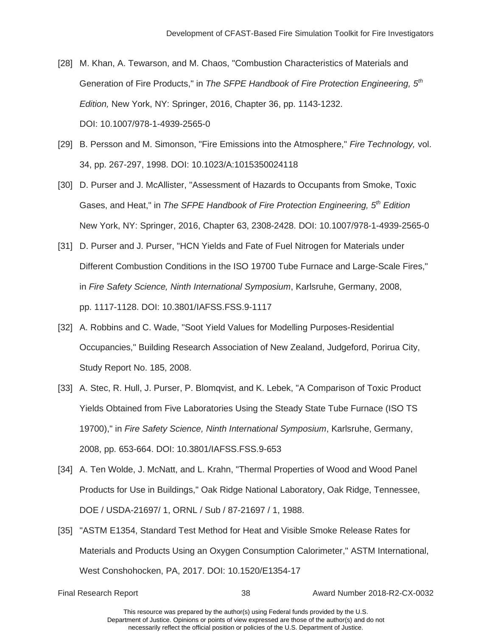- [28] M. Khan, A. Tewarson, and M. Chaos, "Combustion Characteristics of Materials and Generation of Fire Products," in *The SFPE Handbook of Fire Protection Engineering, 5th Edition,* New York, NY: Springer, 2016, Chapter 36, pp. 1143-1232. DOI: 10.1007/978-1-4939-2565-0
- [29] B. Persson and M. Simonson, "Fire Emissions into the Atmosphere," *Fire Technology,* vol. 34, pp. 267-297, 1998. DOI: 10.1023/A:1015350024118
- [30] D. Purser and J. McAllister, "Assessment of Hazards to Occupants from Smoke, Toxic Gases, and Heat," in *The SFPE Handbook of Fire Protection Engineering, 5th Edition*  New York, NY: Springer, 2016, Chapter 63, 2308-2428. DOI: 10.1007/978-1-4939-2565-0
- [31] D. Purser and J. Purser, "HCN Yields and Fate of Fuel Nitrogen for Materials under Different Combustion Conditions in the ISO 19700 Tube Furnace and Large-Scale Fires," in *Fire Safety Science, Ninth International Symposium*, Karlsruhe, Germany, 2008, pp. 1117-1128. DOI: 10.3801/IAFSS.FSS.9-1117
- Study Report No. 185, 2008. [32] A. Robbins and C. Wade, "Soot Yield Values for Modelling Purposes-Residential Occupancies," Building Research Association of New Zealand, Judgeford, Porirua City,
- [33] A. Stec, R. Hull, J. Purser, P. Blomqvist, and K. Lebek, "A Comparison of Toxic Product Yields Obtained from Five Laboratories Using the Steady State Tube Furnace (ISO TS 19700)," in *Fire Safety Science, Ninth International Symposium*, Karlsruhe, Germany, 2008, pp. 653-664. DOI: 10.3801/IAFSS.FSS.9-653
- [34] A. Ten Wolde, J. McNatt, and L. Krahn, "Thermal Properties of Wood and Wood Panel Products for Use in Buildings," Oak Ridge National Laboratory, Oak Ridge, Tennessee, DOE / USDA-21697/ 1, ORNL / Sub / 87-21697 / 1, 1988.
- [35] "ASTM E1354, Standard Test Method for Heat and Visible Smoke Release Rates for Materials and Products Using an Oxygen Consumption Calorimeter," ASTM International, West Conshohocken, PA, 2017. DOI: 10.1520/E1354-17

Final Research Report 38 Award Number 2018-R2-CX-0032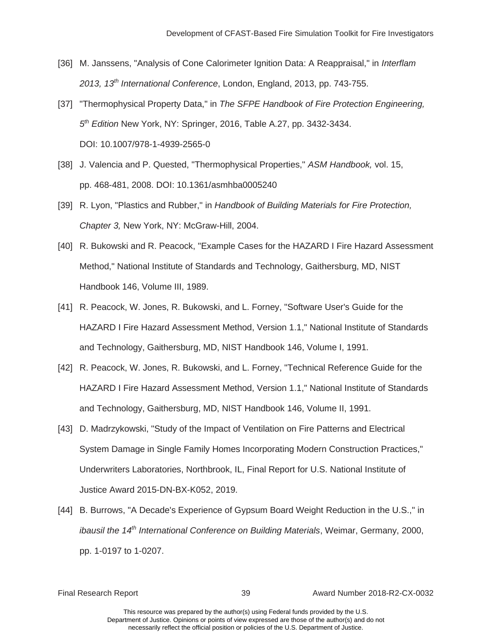- 2013, 13<sup>th</sup> International Conference, London, England, 2013, pp. 743-755. [36] M. Janssens, "Analysis of Cone Calorimeter Ignition Data: A Reappraisal," in *Interflam*
- *5<sup>th</sup> Edition* New York, NY: Springer, 2016, Table A.27, pp. 3432-3434.<br>DOI: 10.1007/978-1-4939-2565-0 *2013, 13th International Conference*, London, England, 2013, pp. 743-755. [37] "Thermophysical Property Data," in *The SFPE Handbook of Fire Protection Engineering,*
- [38] J. Valencia and P. Quested, "Thermophysical Properties," *ASM Handbook,* vol. 15, pp. 468-481, 2008. DOI: 10.1361/asmhba0005240
- [39] R. Lyon, "Plastics and Rubber," in Handbook of Building Materials for Fire Protection, Chapter 3, New York, NY: McGraw-Hill, 2004.
- Method," National Institute of Standards and Technology, Gaithersburg, MD, NIST Handbook 146, Volume III, 1989. [40] R. Bukowski and R. Peacock, "Example Cases for the HAZARD I Fire Hazard Assessment
- [41] R. Peacock, W. Jones, R. Bukowski, and L. Forney, "Software User's Guide for the HAZARD I Fire Hazard Assessment Method, Version 1.1," National Institute of Standards and Technology, Gaithersburg, MD, NIST Handbook 146, Volume I, 1991.
- and Technology, Gaithersburg, MD, NIST Handbook 146, Volume II, 1991. [42] R. Peacock, W. Jones, R. Bukowski, and L. Forney, "Technical Reference Guide for the HAZARD I Fire Hazard Assessment Method, Version 1.1," National Institute of Standards
- Justice Award 2015-DN-BX-K052, 2019. [43] D. Madrzykowski, "Study of the Impact of Ventilation on Fire Patterns and Electrical System Damage in Single Family Homes Incorporating Modern Construction Practices," Underwriters Laboratories, Northbrook, IL, Final Report for U.S. National Institute of
- [44] B. Burrows, "A Decade's Experience of Gypsum Board Weight Reduction in the U.S.," in *ibausil the 14th International Conference on Building Materials*, Weimar, Germany, 2000, pp. 1-0197 to 1-0207.

Final Research Report 39 Award Number 2018-R2-CX-0032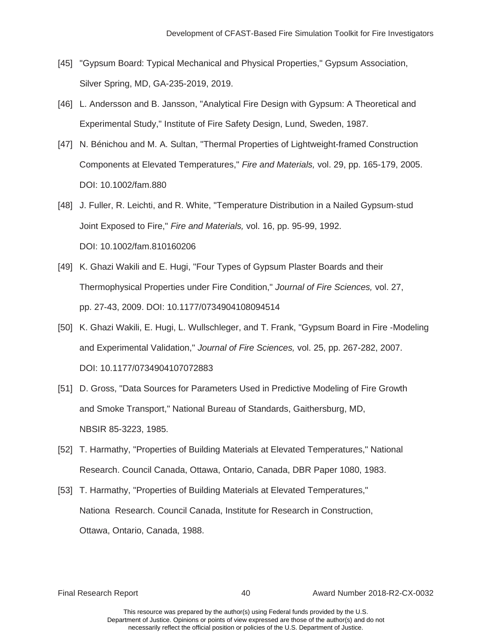- [45] "Gypsum Board: Typical Mechanical and Physical Properties," Gypsum Association, Silver Spring, MD, GA-235-2019, 2019.
- [46] L. Andersson and B. Jansson, "Analytical Fire Design with Gypsum: A Theoretical and Experimental Study," Institute of Fire Safety Design, Lund, Sweden, 1987.
- [47] N. Bénichou and M. A. Sultan, "Thermal Properties of Lightweight-framed Construction Components at Elevated Temperatures," *Fire and Materials,* vol. 29, pp. 165-179, 2005. DOI: 10.1002/fam.880
- [48] J. Fuller, R. Leichti, and R. White, "Temperature Distribution in a Nailed Gypsum-stud Joint Exposed to Fire," *Fire and Materials,* vol. 16, pp. 95-99, 1992. DOI: 10.1002/fam.810160206
- [49] K. Ghazi Wakili and E. Hugi, "Four Types of Gypsum Plaster Boards and their Thermophysical Properties under Fire Condition," *Journal of Fire Sciences,* vol. 27, pp. 27-43, 2009. DOI: 10.1177/0734904108094514
- [50] K. Ghazi Wakili, E. Hugi, L. Wullschleger, and T. Frank, "Gypsum Board in Fire -Modeling and Experimental Validation," *Journal of Fire Sciences,* vol. 25, pp. 267-282, 2007. DOI: 10.1177/0734904107072883
- [51] D. Gross, "Data Sources for Parameters Used in Predictive Modeling of Fire Growth and Smoke Transport," National Bureau of Standards, Gaithersburg, MD, NBSIR 85-3223, 1985.
- Research. Council Canada, Ottawa, Ontario, Canada, DBR Paper 1080, 1983. [52] T. Harmathy, "Properties of Building Materials at Elevated Temperatures," National
- Ottawa, Ontario, Canada, 1988. [53] T. Harmathy, "Properties of Building Materials at Elevated Temperatures," Nationa Research. Council Canada, Institute for Research in Construction, Ottawa, Ontario, Canada, 1988.<br>Final Research Report 40 Award Number 2018-R2-CX-0032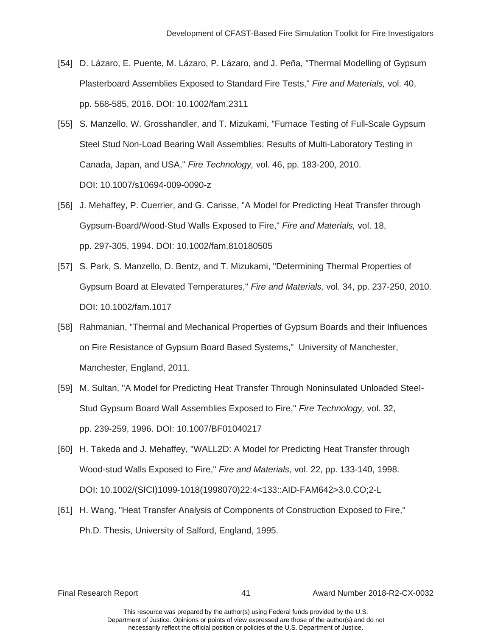- [54] D. Lázaro, E. Puente, M. Lázaro, P. Lázaro, and J. Peña, "Thermal Modelling of Gypsum Plasterboard Assemblies Exposed to Standard Fire Tests," *Fire and Materials,* vol. 40, pp. 568-585, 2016. DOI: 10.1002/fam.2311
- [55] S. Manzello, W. Grosshandler, and T. Mizukami, "Furnace Testing of Full-Scale Gypsum Steel Stud Non-Load Bearing Wall Assemblies: Results of Multi-Laboratory Testing in Canada, Japan, and USA," *Fire Technology,* vol. 46, pp. 183-200, 2010. DOI: 10.1007/s10694-009-0090-z
- Gypsum-Board/Wood-Stud Walls Exposed to Fire," *Fire and Materials,* vol. 18,<br>pp. 297-305, 1994. DOI: 10.1002/fam.810180505 [56] J. Mehaffey, P. Cuerrier, and G. Carisse, "A Model for Predicting Heat Transfer through
- [57] S. Park, S. Manzello, D. Bentz, and T. Mizukami, "Determining Thermal Properties of Gypsum Board at Elevated Temperatures," *Fire and Materials,* vol. 34, pp. 237-250, 2010. DOI: 10.1002/fam.1017
- [58] Rahmanian, "Thermal and Mechanical Properties of Gypsum Boards and their Influences on Fire Resistance of Gypsum Board Based Systems," University of Manchester, Manchester, England, 2011.
- [59] M. Sultan, "A Model for Predicting Heat Transfer Through Noninsulated Unloaded SteeI-Stud Gypsum Board Wall Assemblies Exposed to Fire," *Fire Technology,* vol. 32, pp. 239-259, 1996. DOI: 10.1007/BF01040217
- [60] H. Takeda and J. Mehaffey, "WALL2D: A Model for Predicting Heat Transfer through Wood-stud Walls Exposed to Fire," *Fire and Materials,* vol. 22, pp. 133-140, 1998. DOI: 10.1002/(SICI)1099-1018(1998070)22:4<133::AID-FAM642>3.0.CO;2-L
- [61] H. Wang, "Heat Transfer Analysis of Components of Construction Exposed to Fire," Ph.D. Thesis, University of Salford, England, 1995.

Final Research Report 41 Award Number 2018-R2-CX-0032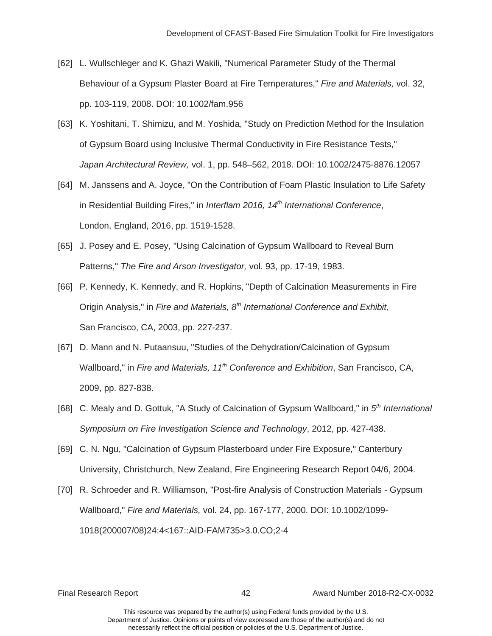- [62] L. Wullschleger and K. Ghazi Wakili, "Numerical Parameter Study of the Thermal Behaviour of a Gypsum Plaster Board at Fire Temperatures," *Fire and Materials,* vol. 32, pp. 103-119, 2008. DOI: 10.1002/fam.956
- [63] K. Yoshitani, T. Shimizu, and M. Yoshida, "Study on Prediction Method for the Insulation of Gypsum Board using Inclusive Thermal Conductivity in Fire Resistance Tests," *Japan Architectural Review,* vol. 1, pp. 548–562, 2018. DOI: 10.1002/2475-8876.12057
- [64] M. Janssens and A. Joyce, "On the Contribution of Foam Plastic Insulation to Life Safety in Residential Building Fires," in *Interflam 2016, 14th International Conference*, London, England, 2016, pp. 1519-1528.
- [65] J. Posey and E. Posey, "Using Calcination of Gypsum Wallboard to Reveal Burn Patterns," *The Fire and Arson Investigator,* vol. 93, pp. 17-19, 1983.
- [66] P. Kennedy, K. Kennedy, and R. Hopkins, "Depth of Calcination Measurements in Fire Origin Analysis," in *Fire and Materials, 8th International Conference and Exhibit*, San Francisco, CA, 2003, pp. 227-237.
- [67] D. Mann and N. Putaansuu, "Studies of the Dehydration/Calcination of Gypsum Wallboard," in *Fire and Materials, 11th Conference and Exhibition*, San Francisco, CA, 2009, pp. 827-838.
- [68] C. Mealy and D. Gottuk, "A Study of Calcination of Gypsum Wallboard," in *5th International*  Symposium on Fire Investigation Science and Technology, 2012, pp. 427-438.
- *Symposium on Fire Investigation Science and Technology*, 2012, pp. 427-438. [69] C. N. Ngu, "Calcination of Gypsum Plasterboard under Fire Exposure," Canterbury University, Christchurch, New Zealand, Fire Engineering Research Report 04/6, 2004.
- [70] R. Schroeder and R. Williamson, "Post-fire Analysis of Construction Materials Gypsum Wallboard," *Fire and Materials,* vol. 24, pp. 167-177, 2000. DOI: 10.1002/1099- 1018(200007/08)24:4<167::AID-FAM735>3.0.CO;2-4

Final Research Report 42 Award Number 2018-R2-CX-0032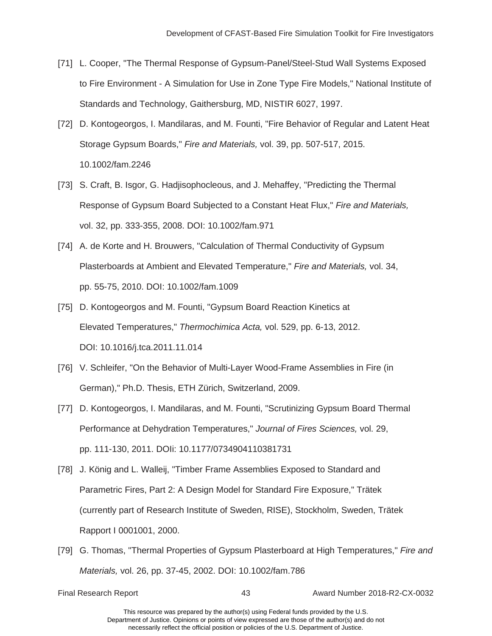- [71] L. Cooper, "The Thermal Response of Gypsum-Panel/Steel-Stud Wall Systems Exposed to Fire Environment - A Simulation for Use in Zone Type Fire Models," National Institute of Standards and Technology, Gaithersburg, MD, NISTIR 6027, 1997.
- Storage Gypsum Boards," *Fire and Materials,* vol. 39, pp. 507-517, 2015. [72] D. Kontogeorgos, I. Mandilaras, and M. Founti, "Fire Behavior of Regular and Latent Heat 10.1002/fam.2246
- [73] S. Craft, B. Isgor, G. Hadjisophocleous, and J. Mehaffey, "Predicting the Thermal  Response of Gypsum Board Subjected to a Constant Heat Flux," *Fire and Materials,*  vol. 32, pp. 333-355, 2008. DOI: 10.1002/fam.971
- [74] A. de Korte and H. Brouwers, "Calculation of Thermal Conductivity of Gypsum Plasterboards at Ambient and Elevated Temperature," *Fire and Materials,* vol. 34, pp. 55-75, 2010. DOI: 10.1002/fam.1009
- [75] D. Kontogeorgos and M. Founti, "Gypsum Board Reaction Kinetics at Elevated Temperatures," *Thermochimica Acta,* vol. 529, pp. 6-13, 2012. DOI: 10.1016/j.tca.2011.11.014
- [76] V. Schleifer, "On the Behavior of Multi-Layer Wood-Frame Assemblies in Fire (in German)," Ph.D. Thesis, ETH Zürich, Switzerland, 2009.
- [77] D. Kontogeorgos, I. Mandilaras, and M. Founti, "Scrutinizing Gypsum Board Thermal Performance at Dehydration Temperatures," *Journal of Fires Sciences,* vol. 29, pp. 111-130, 2011. DOIi: 10.1177/0734904110381731
- Rapport I 0001001, 2000. [78] J. König and L. Walleij, "Timber Frame Assemblies Exposed to Standard and Parametric Fires, Part 2: A Design Model for Standard Fire Exposure," Trätek (currently part of Research Institute of Sweden, RISE), Stockholm, Sweden, Trätek
- [79] G. Thomas, "Thermal Properties of Gypsum Plasterboard at High Temperatures," *Fire and Materials,* vol. 26, pp. 37-45, 2002. DOI: 10.1002/fam.786

Final Research Report 43 Award Number 2018-R2-CX-0032